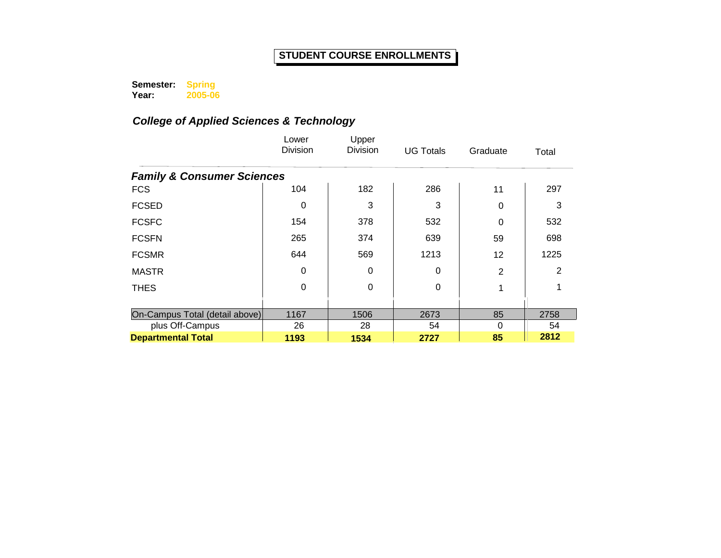**Semester: Spring** 

**Year: 2005-06**

|                                       | Lower<br>Division | Upper<br><b>Division</b> | <b>UG Totals</b> | Graduate | Total |  |  |  |  |
|---------------------------------------|-------------------|--------------------------|------------------|----------|-------|--|--|--|--|
| <b>Family &amp; Consumer Sciences</b> |                   |                          |                  |          |       |  |  |  |  |
| <b>FCS</b>                            | 104               | 182                      | 286              | 11       | 297   |  |  |  |  |
| <b>FCSED</b>                          | 0                 | 3                        | 3                | 0        | 3     |  |  |  |  |
| <b>FCSFC</b>                          | 154               | 378                      | 532              | 0        | 532   |  |  |  |  |
| <b>FCSFN</b>                          | 265               | 374                      | 639              | 59       | 698   |  |  |  |  |
| <b>FCSMR</b>                          | 644               | 569                      | 1213             | 12       | 1225  |  |  |  |  |
| <b>MASTR</b>                          | $\Omega$          | 0                        | $\Omega$         | 2        | 2     |  |  |  |  |
| <b>THES</b>                           | $\Omega$          | 0                        | $\Omega$         |          |       |  |  |  |  |
|                                       |                   |                          |                  |          |       |  |  |  |  |
| On-Campus Total (detail above)        | 1167              | 1506                     | 2673             | 85       | 2758  |  |  |  |  |
| plus Off-Campus                       | 26                | 28                       | 54               | 0        | 54    |  |  |  |  |
| <b>Departmental Total</b>             | 1193              | 1534                     | 2727             | 85       | 2812  |  |  |  |  |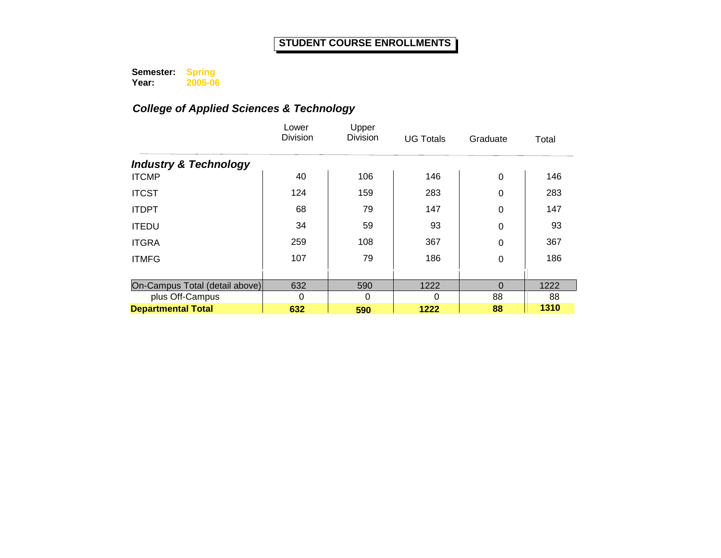**Semester: Year: Spring 2005-06**

|                                  | Lower<br><b>Division</b> | Upper<br><b>Division</b> | <b>UG Totals</b> | Graduate | Total |
|----------------------------------|--------------------------|--------------------------|------------------|----------|-------|
| <b>Industry &amp; Technology</b> |                          |                          |                  |          |       |
| <b>ITCMP</b>                     | 40                       | 106                      | 146              | 0        | 146   |
| <b>ITCST</b>                     | 124                      | 159                      | 283              | 0        | 283   |
| <b>ITDPT</b>                     | 68                       | 79                       | 147              | 0        | 147   |
| <b>ITEDU</b>                     | 34                       | 59                       | 93               | 0        | 93    |
| <b>ITGRA</b>                     | 259                      | 108                      | 367              | 0        | 367   |
| <b>ITMFG</b>                     | 107                      | 79                       | 186              | 0        | 186   |
|                                  |                          |                          |                  |          |       |
| On-Campus Total (detail above)   | 632                      | 590                      | 1222             | $\Omega$ | 1222  |
| plus Off-Campus                  | 0                        | 0                        | 0                | 88       | 88    |
| <b>Departmental Total</b>        | 632                      | 590                      | 1222             | 88       | 1310  |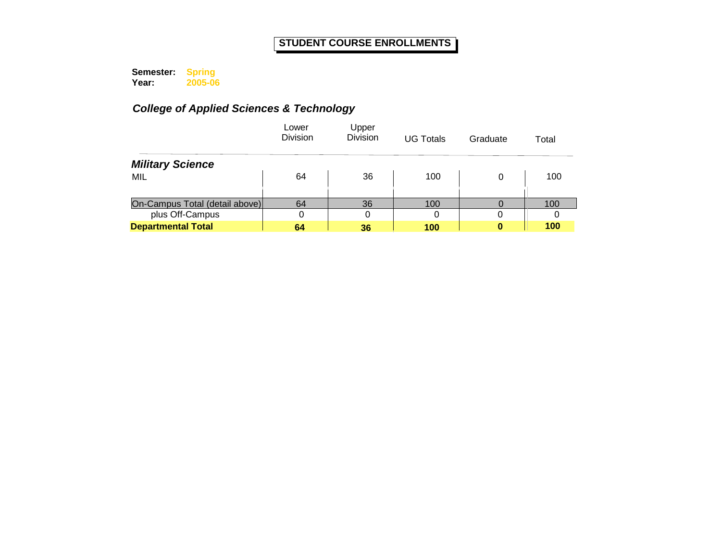**Semester: Year: Spring 2005-06**

|                                | Lower<br><b>Division</b> | Upper<br><b>Division</b> | <b>UG Totals</b> | Graduate | Total |
|--------------------------------|--------------------------|--------------------------|------------------|----------|-------|
| <b>Military Science</b>        |                          |                          |                  |          |       |
| MIL                            | 64                       | 36                       | 100              | 0        | 100   |
|                                |                          |                          |                  |          |       |
| On-Campus Total (detail above) | 64                       | 36                       | 100              |          | 100   |
| plus Off-Campus                | 0                        | 0                        | 0                | 0        |       |
| <b>Departmental Total</b>      | 64                       | 36                       | 100              | 0        | 100   |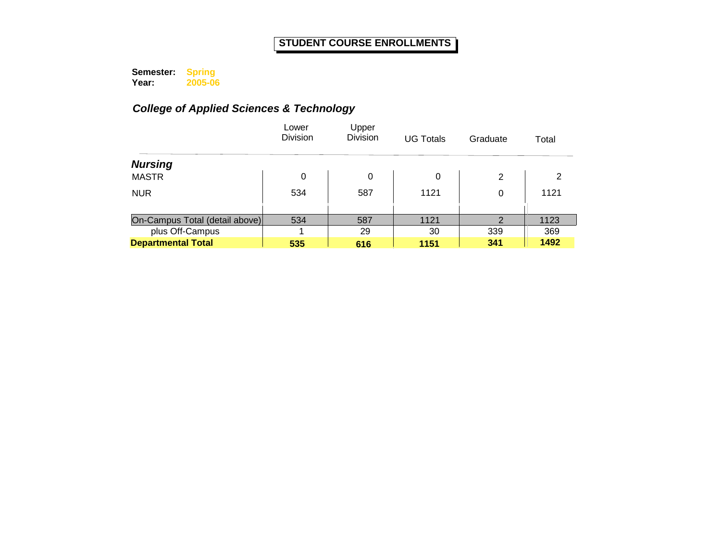**Semester: Year: Spring 2005-06**

|                                | Lower<br><b>Division</b> | Upper<br><b>Division</b> | <b>UG Totals</b> | Graduate | Total |
|--------------------------------|--------------------------|--------------------------|------------------|----------|-------|
| <b>Nursing</b>                 |                          |                          |                  |          |       |
| <b>MASTR</b>                   | 0                        | 0                        | 0                | 2        | 2     |
| <b>NUR</b>                     | 534                      | 587                      | 1121             | 0        | 1121  |
|                                |                          |                          |                  |          |       |
| On-Campus Total (detail above) | 534                      | 587                      | 1121             | 2        | 1123  |
| plus Off-Campus                |                          | 29                       | 30               | 339      | 369   |
| <b>Departmental Total</b>      | 535                      | 616                      | 1151             | 341      | 1492  |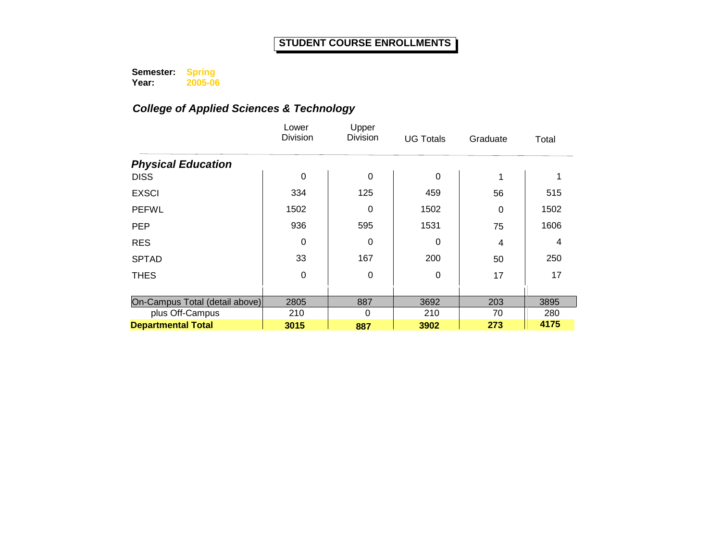**Semester: Year: Spring 2005-06**

|                                | Lower<br><b>Division</b> | Upper<br><b>Division</b> | <b>UG Totals</b> | Graduate | Total |
|--------------------------------|--------------------------|--------------------------|------------------|----------|-------|
| <b>Physical Education</b>      |                          |                          |                  |          |       |
| <b>DISS</b>                    | 0                        | 0                        | 0                | 1        |       |
| <b>EXSCI</b>                   | 334                      | 125                      | 459              | 56       | 515   |
| <b>PEFWL</b>                   | 1502                     | 0                        | 1502             | 0        | 1502  |
| <b>PEP</b>                     | 936                      | 595                      | 1531             | 75       | 1606  |
| <b>RES</b>                     | 0                        | 0                        | 0                | 4        | 4     |
| <b>SPTAD</b>                   | 33                       | 167                      | 200              | 50       | 250   |
| <b>THES</b>                    | $\Omega$                 | 0                        | 0                | 17       | 17    |
|                                |                          |                          |                  |          |       |
| On-Campus Total (detail above) | 2805                     | 887                      | 3692             | 203      | 3895  |
| plus Off-Campus                | 210                      | $\Omega$                 | 210              | 70       | 280   |
| <b>Departmental Total</b>      | 3015                     | 887                      | 3902             | 273      | 4175  |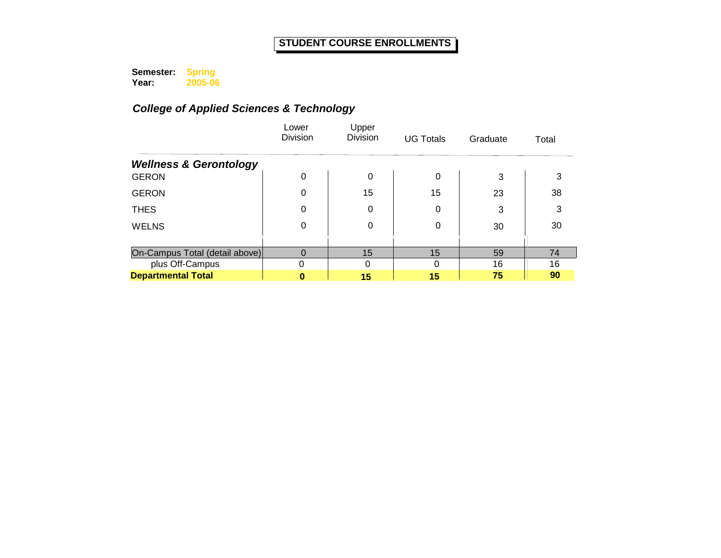**Semester: Year: Spring 2005-06**

|                                   | Lower<br><b>Division</b> | Upper<br><b>Division</b> | <b>UG Totals</b> | Graduate | Total |
|-----------------------------------|--------------------------|--------------------------|------------------|----------|-------|
| <b>Wellness &amp; Gerontology</b> |                          |                          |                  |          |       |
| <b>GERON</b>                      | 0                        | 0                        | 0                | 3        | 3     |
| <b>GERON</b>                      | 0                        | 15                       | 15               | 23       | 38    |
| <b>THES</b>                       | 0                        | 0                        | 0                | 3        | 3     |
| <b>WELNS</b>                      | 0                        | 0                        | $\Omega$         | 30       | 30    |
|                                   |                          |                          |                  |          |       |
| On-Campus Total (detail above)    | 0                        | 15                       | 15               | 59       | 74    |
| plus Off-Campus                   | 0                        | $\Omega$                 |                  | 16       | 16    |
| <b>Departmental Total</b>         | 0                        | 15                       | 15               | 75       | 90    |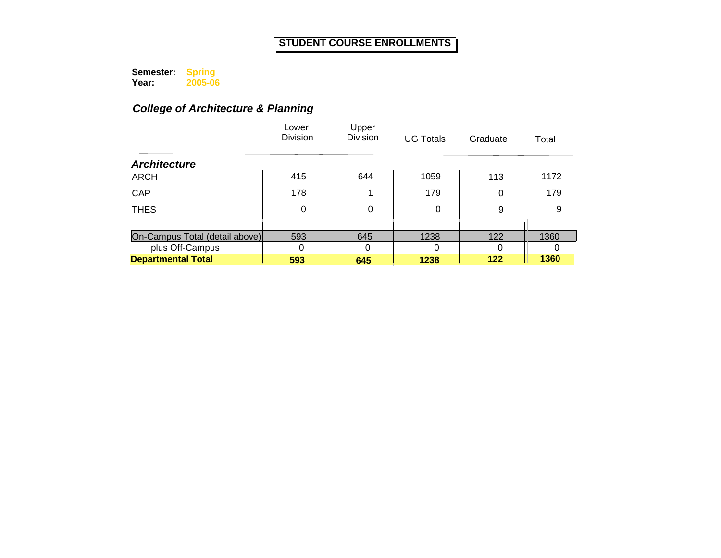**Semester: Year: Spring 2005-06**

# *College of Architecture & Planning*

|                                | Lower<br><b>Division</b> | Upper<br><b>Division</b> | <b>UG Totals</b> | Graduate | Total |
|--------------------------------|--------------------------|--------------------------|------------------|----------|-------|
| <b>Architecture</b>            |                          |                          |                  |          |       |
| <b>ARCH</b>                    | 415                      | 644                      | 1059             | 113      | 1172  |
| <b>CAP</b>                     | 178                      |                          | 179              | 0        | 179   |
| <b>THES</b>                    | 0                        | 0                        | 0                | 9        | 9     |
|                                |                          |                          |                  |          |       |
| On-Campus Total (detail above) | 593                      | 645                      | 1238             | 122      | 1360  |
| plus Off-Campus                | $\Omega$                 | $\Omega$                 | 0                | 0        |       |
| <b>Departmental Total</b>      | 593                      | 645                      | 1238             | 122      | 1360  |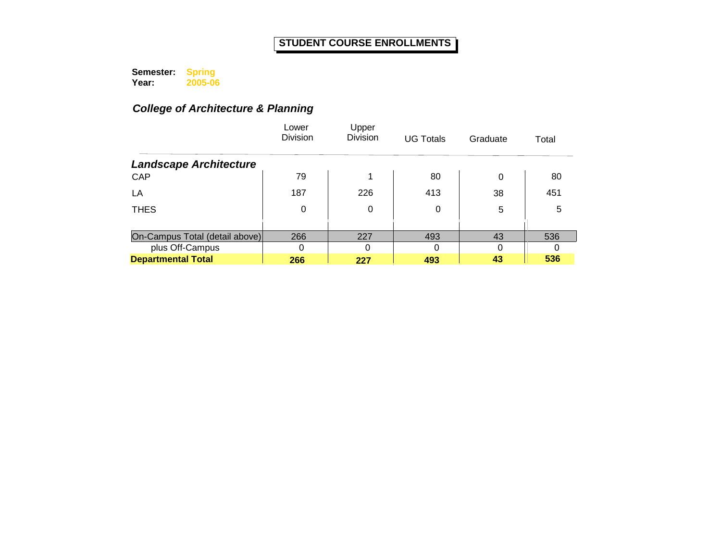**Semester: Year: Spring 2005-06**

# *College of Architecture & Planning*

|                                | Lower<br><b>Division</b> | Upper<br><b>Division</b> | <b>UG Totals</b> | Graduate | Total |
|--------------------------------|--------------------------|--------------------------|------------------|----------|-------|
| <b>Landscape Architecture</b>  |                          |                          |                  |          |       |
| CAP                            | 79                       | и                        | 80               | 0        | 80    |
| LA                             | 187                      | 226                      | 413              | 38       | 451   |
| <b>THES</b>                    | 0                        | 0                        | 0                | 5        | 5     |
|                                |                          |                          |                  |          |       |
| On-Campus Total (detail above) | 266                      | 227                      | 493              | 43       | 536   |
| plus Off-Campus                | 0                        | 0                        | 0                | 0        |       |
| <b>Departmental Total</b>      | 266                      | 227                      | 493              | 43       | 536   |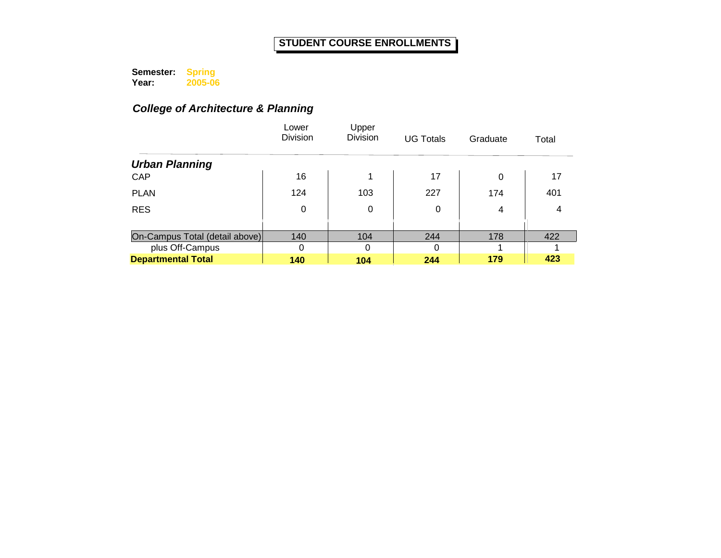**Semester: Year: Spring 2005-06**

# *College of Architecture & Planning*

|                                | Lower<br><b>Division</b> | Upper<br><b>Division</b> | <b>UG Totals</b> | Graduate | Total |
|--------------------------------|--------------------------|--------------------------|------------------|----------|-------|
| <b>Urban Planning</b>          |                          |                          |                  |          |       |
| CAP                            | 16                       | 1                        | 17               | 0        | 17    |
| <b>PLAN</b>                    | 124                      | 103                      | 227              | 174      | 401   |
| <b>RES</b>                     | 0                        | 0                        | 0                | 4        | 4     |
|                                |                          |                          |                  |          |       |
| On-Campus Total (detail above) | 140                      | 104                      | 244              | 178      | 422   |
| plus Off-Campus                | 0                        | $\Omega$                 | 0                |          |       |
| <b>Departmental Total</b>      | 140                      | 104                      | 244              | 179      | 423   |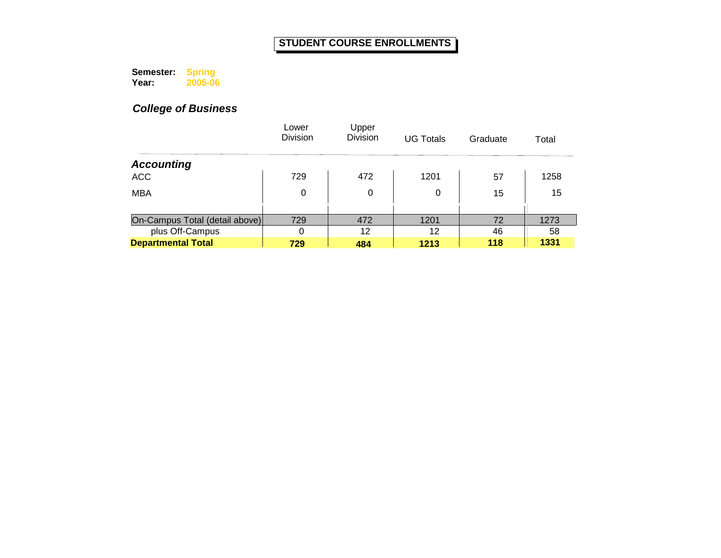**Semester: Year: Spring 2005-06**

|                                | Lower<br><b>Division</b> | Upper<br><b>Division</b> | <b>UG Totals</b> | Graduate | Total |
|--------------------------------|--------------------------|--------------------------|------------------|----------|-------|
| <b>Accounting</b>              |                          |                          |                  |          |       |
| <b>ACC</b>                     | 729                      | 472                      | 1201             | 57       | 1258  |
| <b>MBA</b>                     | 0                        | 0                        | 0                | 15       | 15    |
|                                |                          |                          |                  |          |       |
| On-Campus Total (detail above) | 729                      | 472                      | 1201             | 72       | 1273  |
| plus Off-Campus                | 0                        | 12                       | 12               | 46       | 58    |
| <b>Departmental Total</b>      | 729                      | 484                      | 1213             | 118      | 1331  |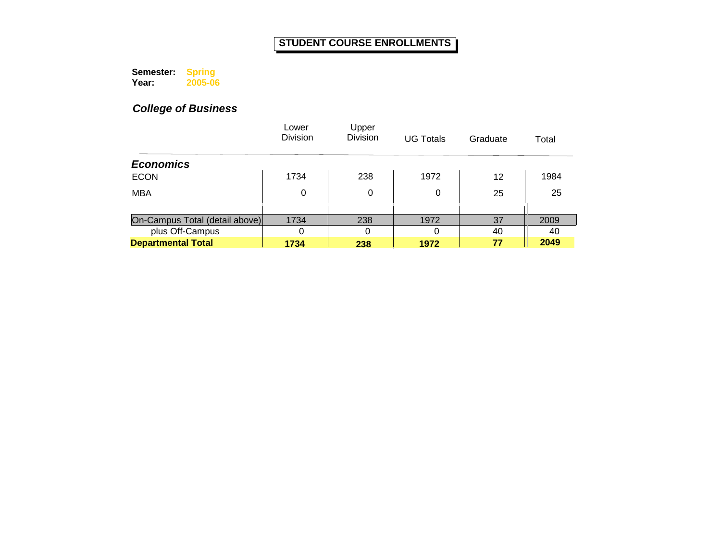**Semester: Year: Spring 2005-06**

|                                | Lower<br><b>Division</b> | Upper<br><b>Division</b> | <b>UG Totals</b> | Graduate | Total |
|--------------------------------|--------------------------|--------------------------|------------------|----------|-------|
| <b>Economics</b>               |                          |                          |                  |          |       |
| <b>ECON</b>                    | 1734                     | 238                      | 1972             | 12       | 1984  |
| <b>MBA</b>                     | 0                        | 0                        | 0                | 25       | 25    |
|                                |                          |                          |                  |          |       |
| On-Campus Total (detail above) | 1734                     | 238                      | 1972             | 37       | 2009  |
| plus Off-Campus                | 0                        | 0                        | ∩                | 40       | 40    |
| <b>Departmental Total</b>      | 1734                     | 238                      | 1972             | 77       | 2049  |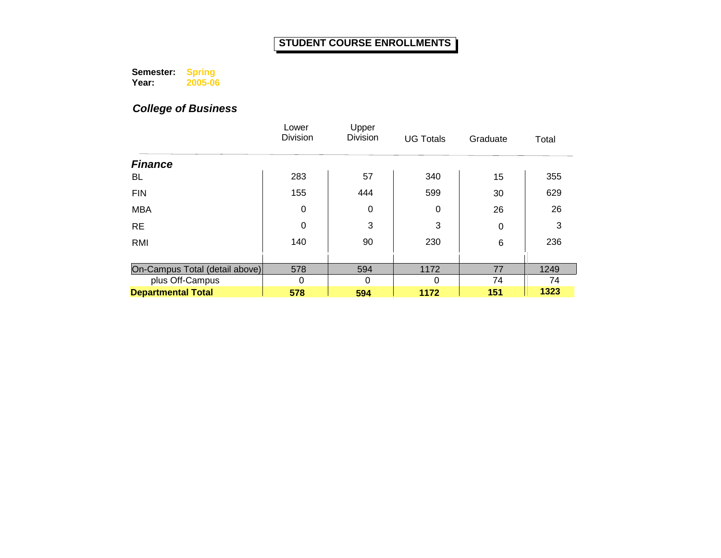**Semester: Year: Spring 2005-06**

|                                | Lower<br><b>Division</b> | Upper<br><b>Division</b> | <b>UG Totals</b> | Graduate | Total |
|--------------------------------|--------------------------|--------------------------|------------------|----------|-------|
| <b>Finance</b>                 |                          |                          |                  |          |       |
| BL                             | 283                      | 57                       | 340              | 15       | 355   |
| <b>FIN</b>                     | 155                      | 444                      | 599              | 30       | 629   |
| <b>MBA</b>                     | $\mathbf 0$              | $\mathbf 0$              | 0                | 26       | 26    |
| <b>RE</b>                      | 0                        | 3                        | 3                | 0        | 3     |
| <b>RMI</b>                     | 140                      | 90                       | 230              | 6        | 236   |
|                                |                          |                          |                  |          |       |
| On-Campus Total (detail above) | 578                      | 594                      | 1172             | 77       | 1249  |
| plus Off-Campus                | 0                        | 0                        | 0                | 74       | 74    |
| <b>Departmental Total</b>      | 578                      | 594                      | 1172             | 151      | 1323  |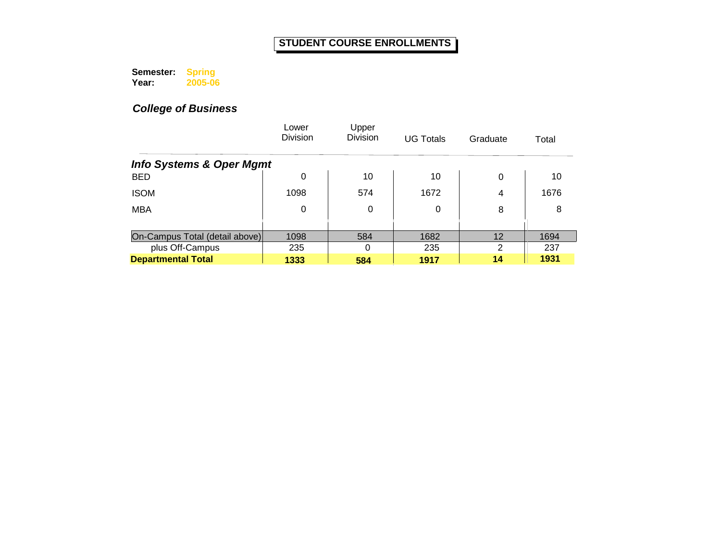**Semester: Year: Spring 2005-06**

|                                     | Lower<br><b>Division</b> | Upper<br>Division | <b>UG Totals</b> | Graduate | Total |
|-------------------------------------|--------------------------|-------------------|------------------|----------|-------|
| <b>Info Systems &amp; Oper Mgmt</b> |                          |                   |                  |          |       |
| <b>BED</b>                          | 0                        | 10                | 10               | 0        | 10    |
| <b>ISOM</b>                         | 1098                     | 574               | 1672             | 4        | 1676  |
| <b>MBA</b>                          | 0                        | 0                 | 0                | 8        | 8     |
|                                     |                          |                   |                  |          |       |
| On-Campus Total (detail above)      | 1098                     | 584               | 1682             | 12       | 1694  |
| plus Off-Campus                     | 235                      | $\Omega$          | 235              | 2        | 237   |
| <b>Departmental Total</b>           | 1333                     | 584               | 1917             | 14       | 1931  |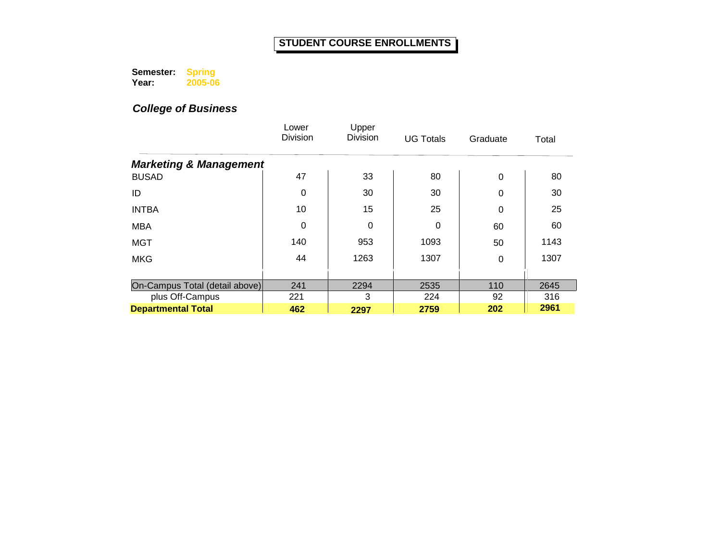**Semester: Year: Spring 2005-06**

|                                   | Lower<br><b>Division</b> | Upper<br><b>Division</b> | <b>UG Totals</b> | Graduate | Total |
|-----------------------------------|--------------------------|--------------------------|------------------|----------|-------|
| <b>Marketing &amp; Management</b> |                          |                          |                  |          |       |
| <b>BUSAD</b>                      | 47                       | 33                       | 80               | 0        | 80    |
| ID                                | 0                        | 30                       | 30               | 0        | 30    |
| <b>INTBA</b>                      | 10                       | 15                       | 25               | 0        | 25    |
| <b>MBA</b>                        | 0                        | 0                        | 0                | 60       | 60    |
| <b>MGT</b>                        | 140                      | 953                      | 1093             | 50       | 1143  |
| <b>MKG</b>                        | 44                       | 1263                     | 1307             | 0        | 1307  |
|                                   |                          |                          |                  |          |       |
| On-Campus Total (detail above)    | 241                      | 2294                     | 2535             | 110      | 2645  |
| plus Off-Campus                   | 221                      | 3                        | 224              | 92       | 316   |
| <b>Departmental Total</b>         | 462                      | 2297                     | 2759             | 202      | 2961  |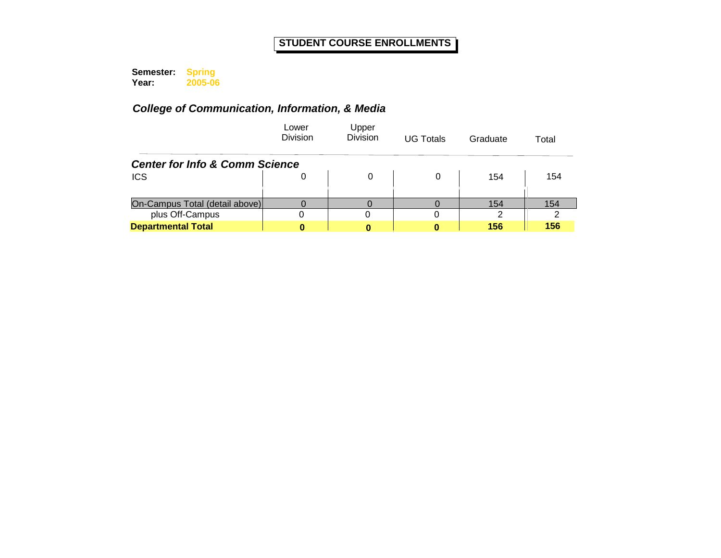**Semester: Year: Spring 2005-06**

|                                | Lower<br><b>Division</b>                  | Upper<br><b>Division</b> | <b>UG Totals</b> | Graduate      | Total |  |  |  |  |
|--------------------------------|-------------------------------------------|--------------------------|------------------|---------------|-------|--|--|--|--|
|                                | <b>Center for Info &amp; Comm Science</b> |                          |                  |               |       |  |  |  |  |
| <b>ICS</b>                     | 0                                         |                          | 0                | 154           | 154   |  |  |  |  |
|                                |                                           |                          |                  |               |       |  |  |  |  |
| On-Campus Total (detail above) |                                           |                          |                  | 154           | 154   |  |  |  |  |
| plus Off-Campus                |                                           |                          |                  | $\mathcal{P}$ |       |  |  |  |  |
| <b>Departmental Total</b>      |                                           |                          |                  | 156           | 156   |  |  |  |  |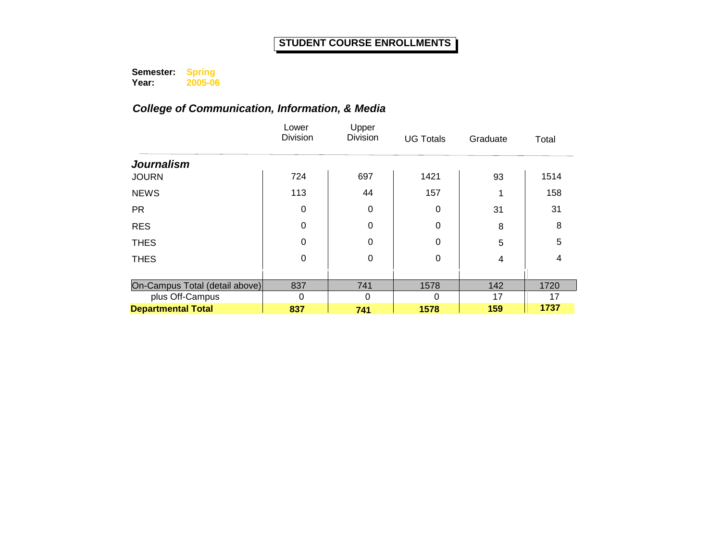**Semester: Year: Spring 2005-06**

|                                                   | Lower<br><b>Division</b> | Upper<br><b>Division</b> | <b>UG Totals</b> | Graduate  | Total      |
|---------------------------------------------------|--------------------------|--------------------------|------------------|-----------|------------|
| <b>Journalism</b>                                 |                          |                          |                  |           |            |
| <b>JOURN</b>                                      | 724                      | 697                      | 1421             | 93        | 1514       |
| <b>NEWS</b>                                       | 113                      | 44                       | 157              |           | 158        |
| <b>PR</b>                                         | 0                        | 0                        | 0                | 31        | 31         |
| <b>RES</b>                                        | $\Omega$                 | $\Omega$                 | $\Omega$         | 8         | 8          |
| <b>THES</b>                                       | 0                        | $\Omega$                 | $\Omega$         | 5         | 5          |
| <b>THES</b>                                       | 0                        | $\mathbf 0$              | 0                | 4         | 4          |
|                                                   |                          |                          |                  |           |            |
| On-Campus Total (detail above)<br>plus Off-Campus | 837<br>$\Omega$          | 741<br>$\Omega$          | 1578<br>0        | 142<br>17 | 1720<br>17 |
| <b>Departmental Total</b>                         | 837                      | 741                      | 1578             | 159       | 1737       |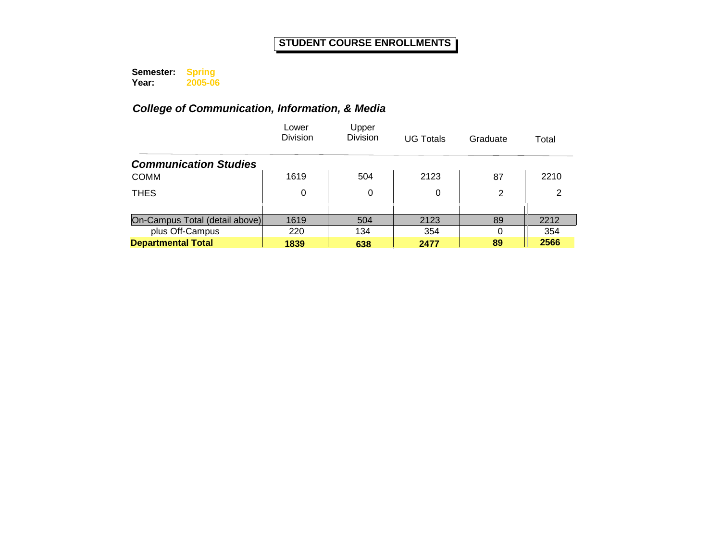**Semester: Year: Spring 2005-06**

|                                | Lower<br>Division | Upper<br><b>Division</b> | <b>UG Totals</b> | Graduate | Total |
|--------------------------------|-------------------|--------------------------|------------------|----------|-------|
| <b>Communication Studies</b>   |                   |                          |                  |          |       |
| <b>COMM</b>                    | 1619              | 504                      | 2123             | 87       | 2210  |
| <b>THES</b>                    | 0                 | 0                        | 0                | 2        | 2     |
|                                |                   |                          |                  |          |       |
| On-Campus Total (detail above) | 1619              | 504                      | 2123             | 89       | 2212  |
| plus Off-Campus                | 220               | 134                      | 354              | $\Omega$ | 354   |
| <b>Departmental Total</b>      | 1839              | 638                      | 2477             | 89       | 2566  |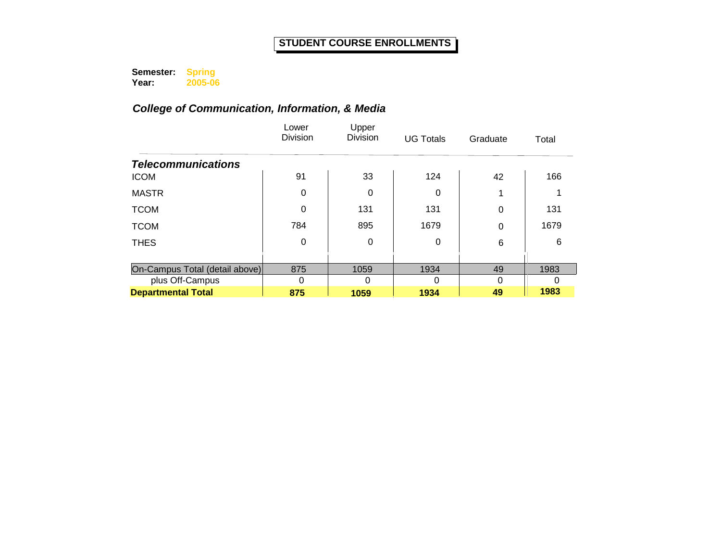**Semester: Year: Spring 2005-06**

|                                | Lower<br>Division | Upper<br><b>Division</b> | <b>UG Totals</b> | Graduate | Total |
|--------------------------------|-------------------|--------------------------|------------------|----------|-------|
| <b>Telecommunications</b>      |                   |                          |                  |          |       |
| <b>ICOM</b>                    | 91                | 33                       | 124              | 42       | 166   |
| <b>MASTR</b>                   | 0                 | 0                        | 0                |          |       |
| <b>TCOM</b>                    | 0                 | 131                      | 131              | 0        | 131   |
| <b>TCOM</b>                    | 784               | 895                      | 1679             | 0        | 1679  |
| <b>THES</b>                    | 0                 | 0                        | 0                | 6        | 6     |
|                                |                   |                          |                  |          |       |
| On-Campus Total (detail above) | 875               | 1059                     | 1934             | 49       | 1983  |
| plus Off-Campus                | 0                 | 0                        | 0                | 0        |       |
| <b>Departmental Total</b>      | 875               | 1059                     | 1934             | 49       | 1983  |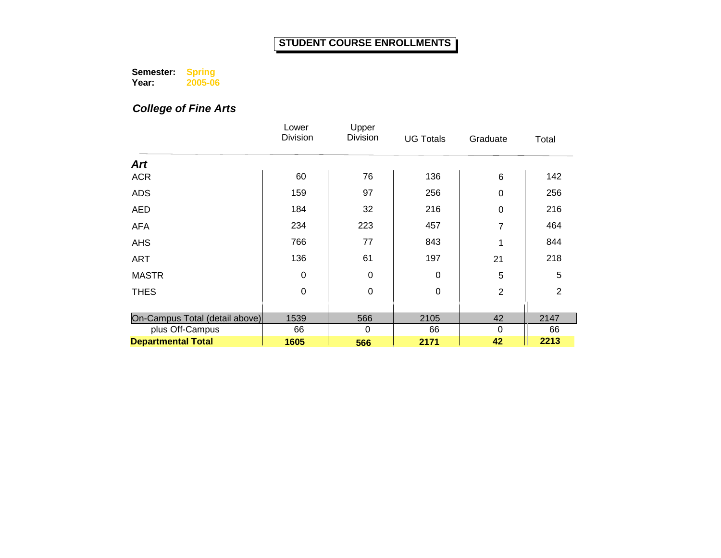**Semester: Year: Spring 2005-06**

*College of Fine Arts*

|                                | Lower<br>Division | Upper<br>Division | <b>UG Totals</b> | Graduate       | Total          |
|--------------------------------|-------------------|-------------------|------------------|----------------|----------------|
| <b>Art</b>                     |                   |                   |                  |                |                |
| <b>ACR</b>                     | 60                | 76                | 136              | 6              | 142            |
| <b>ADS</b>                     | 159               | 97                | 256              | 0              | 256            |
| <b>AED</b>                     | 184               | 32                | 216              | 0              | 216            |
| <b>AFA</b>                     | 234               | 223               | 457              | 7              | 464            |
| <b>AHS</b>                     | 766               | 77                | 843              | 1              | 844            |
| <b>ART</b>                     | 136               | 61                | 197              | 21             | 218            |
| <b>MASTR</b>                   | $\Omega$          | $\mathbf 0$       | $\Omega$         | $\overline{5}$ | 5              |
| <b>THES</b>                    | $\mathbf 0$       | $\mathbf 0$       | $\mathbf 0$      | $\overline{2}$ | $\overline{2}$ |
|                                |                   |                   |                  |                |                |
| On-Campus Total (detail above) | 1539              | 566               | 2105             | 42             | 2147           |
| plus Off-Campus                | 66                | 0                 | 66               | $\Omega$       | 66             |
| <b>Departmental Total</b>      | 1605              | 566               | 2171             | 42             | 2213           |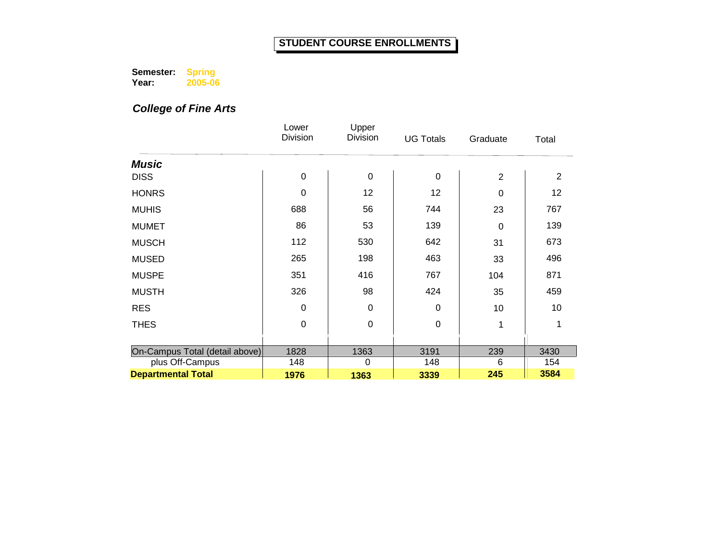**Semester: Year: Spring 2005-06**

*College of Fine Arts*

|                                | Lower<br><b>Division</b> | Upper<br>Division | <b>UG Totals</b> | Graduate       | Total |
|--------------------------------|--------------------------|-------------------|------------------|----------------|-------|
|                                |                          |                   |                  |                |       |
| <b>Music</b>                   |                          |                   |                  |                |       |
| <b>DISS</b>                    | $\mathbf 0$              | $\mathbf 0$       | 0                | $\overline{2}$ | 2     |
| <b>HONRS</b>                   | 0                        | 12                | 12               | 0              | 12    |
| <b>MUHIS</b>                   | 688                      | 56                | 744              | 23             | 767   |
| <b>MUMET</b>                   | 86                       | 53                | 139              | 0              | 139   |
| <b>MUSCH</b>                   | 112                      | 530               | 642              | 31             | 673   |
| <b>MUSED</b>                   | 265                      | 198               | 463              | 33             | 496   |
| <b>MUSPE</b>                   | 351                      | 416               | 767              | 104            | 871   |
| <b>MUSTH</b>                   | 326                      | 98                | 424              | 35             | 459   |
| <b>RES</b>                     | 0                        | $\mathbf 0$       | 0                | 10             | 10    |
| <b>THES</b>                    | $\mathbf 0$              | $\mathbf 0$       | 0                | 1              | 1     |
|                                |                          |                   |                  |                |       |
| On-Campus Total (detail above) | 1828                     | 1363              | 3191             | 239            | 3430  |
| plus Off-Campus                | 148                      | 0                 | 148              | 6              | 154   |
| <b>Departmental Total</b>      | 1976                     | 1363              | 3339             | 245            | 3584  |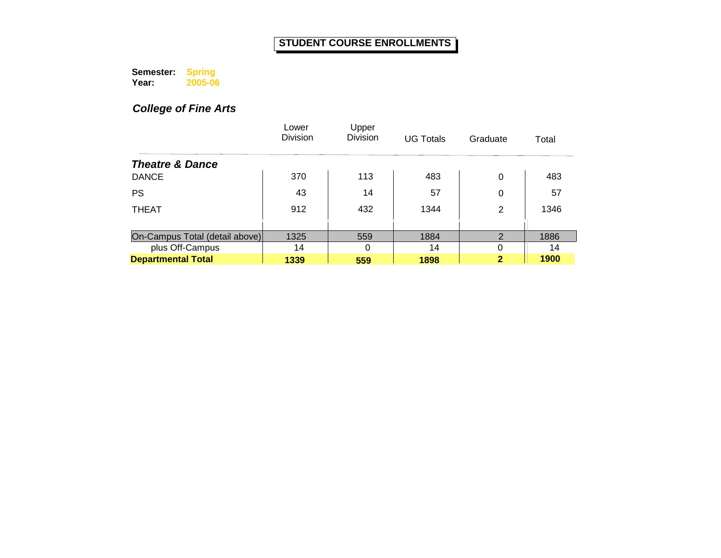**Semester: Year: Spring 2005-06**

*College of Fine Arts*

|                                | Lower<br><b>Division</b> | Upper<br>Division | <b>UG Totals</b> | Graduate       | Total |
|--------------------------------|--------------------------|-------------------|------------------|----------------|-------|
| <b>Theatre &amp; Dance</b>     |                          |                   |                  |                |       |
| <b>DANCE</b>                   | 370                      | 113               | 483              | 0              | 483   |
| <b>PS</b>                      | 43                       | 14                | 57               | 0              | 57    |
| <b>THEAT</b>                   | 912                      | 432               | 1344             | 2              | 1346  |
|                                |                          |                   |                  |                |       |
| On-Campus Total (detail above) | 1325                     | 559               | 1884             | $\overline{2}$ | 1886  |
| plus Off-Campus                | 14                       | 0                 | 14               | 0              | 14    |
| <b>Departmental Total</b>      | 1339                     | 559               | 1898             | $\mathbf 2$    | 1900  |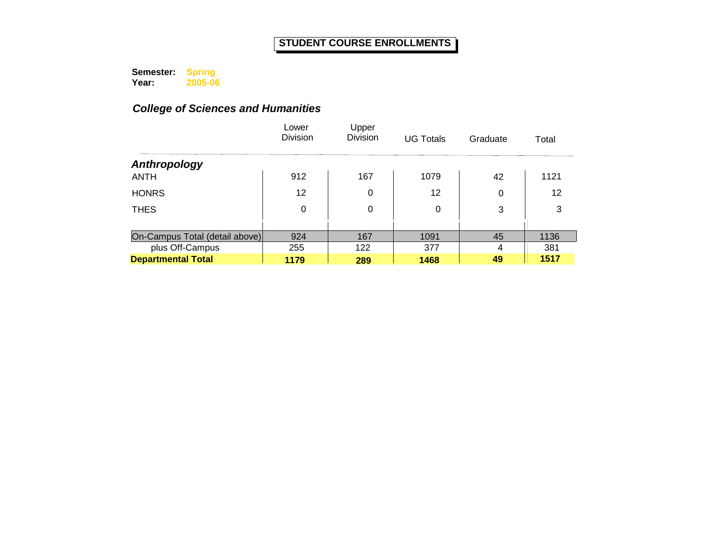**Semester: Year: Spring 2005-06**

|                                | Lower<br><b>Division</b> | Upper<br><b>Division</b> | <b>UG Totals</b> | Graduate | Total |
|--------------------------------|--------------------------|--------------------------|------------------|----------|-------|
| Anthropology                   |                          |                          |                  |          |       |
| <b>ANTH</b>                    | 912                      | 167                      | 1079             | 42       | 1121  |
| <b>HONRS</b>                   | 12                       | 0                        | 12               | 0        | 12    |
| <b>THES</b>                    | 0                        | 0                        | 0                | 3        | 3     |
|                                |                          |                          |                  |          |       |
| On-Campus Total (detail above) | 924                      | 167                      | 1091             | 45       | 1136  |
| plus Off-Campus                | 255                      | 122                      | 377              | 4        | 381   |
| <b>Departmental Total</b>      | 1179                     | 289                      | 1468             | 49       | 1517  |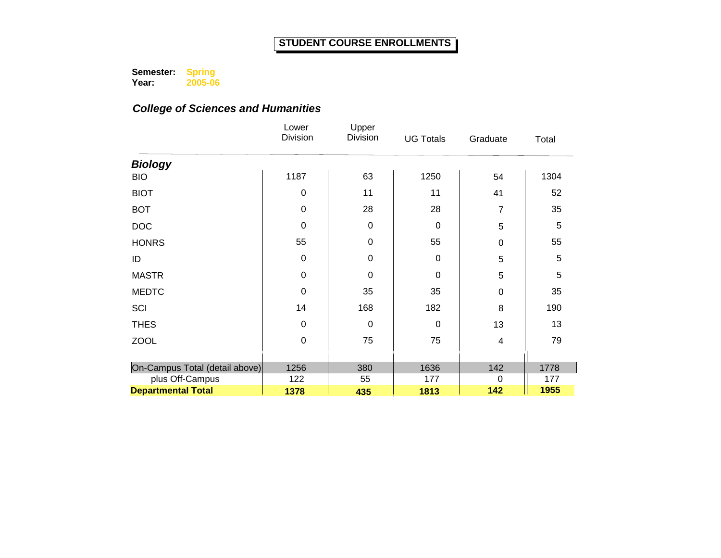**Semester: Year: Spring 2005-06**

|                                | Lower<br>Division | Upper<br>Division | <b>UG Totals</b> | Graduate       | Total |
|--------------------------------|-------------------|-------------------|------------------|----------------|-------|
| <b>Biology</b>                 |                   |                   |                  |                |       |
| <b>BIO</b>                     | 1187              | 63                | 1250             | 54             | 1304  |
| <b>BIOT</b>                    | 0                 | 11                | 11               | 41             | 52    |
| <b>BOT</b>                     | $\mathbf 0$       | 28                | 28               | 7              | 35    |
| <b>DOC</b>                     | 0                 | $\mathbf 0$       | 0                | 5              | 5     |
| <b>HONRS</b>                   | 55                | $\mathbf 0$       | 55               | 0              | 55    |
| ID                             | $\mathbf 0$       | $\boldsymbol{0}$  | $\mathbf 0$      | 5              | 5     |
| <b>MASTR</b>                   | $\mathbf 0$       | $\mathbf 0$       | $\mathbf 0$      | 5              | 5     |
| <b>MEDTC</b>                   | $\mathbf 0$       | 35                | 35               | 0              | 35    |
| SCI                            | 14                | 168               | 182              | 8              | 190   |
| <b>THES</b>                    | $\mathbf 0$       | $\mathbf 0$       | $\Omega$         | 13             | 13    |
| <b>ZOOL</b>                    | $\mathbf 0$       | 75                | 75               | 4              | 79    |
|                                |                   |                   |                  |                |       |
| On-Campus Total (detail above) | 1256              | 380               | 1636             | 142            | 1778  |
| plus Off-Campus                | 122               | 55                | 177              | $\overline{0}$ | 177   |
| <b>Departmental Total</b>      | 1378              | 435               | 1813             | 142            | 1955  |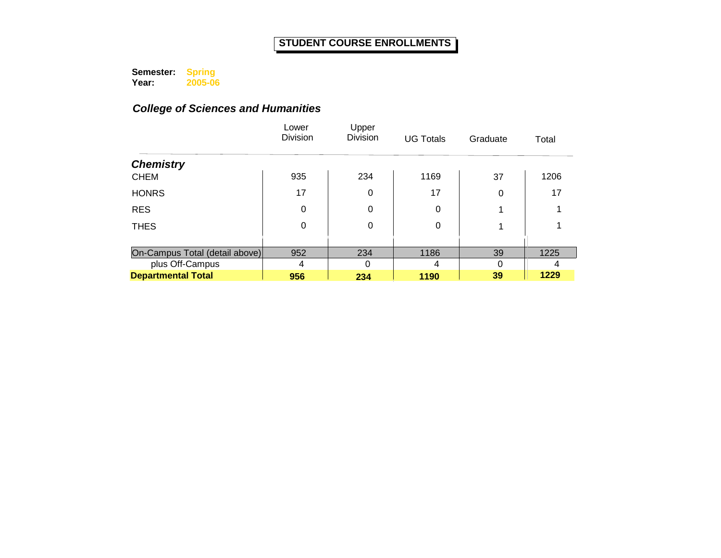**Semester: Year: Spring 2005-06**

|                                | Lower<br><b>Division</b> | Upper<br><b>Division</b> | <b>UG Totals</b> | Graduate | Total |
|--------------------------------|--------------------------|--------------------------|------------------|----------|-------|
| <b>Chemistry</b>               |                          |                          |                  |          |       |
| <b>CHEM</b>                    | 935                      | 234                      | 1169             | 37       | 1206  |
| <b>HONRS</b>                   | 17                       | 0                        | 17               | 0        | 17    |
| <b>RES</b>                     | $\Omega$                 | 0                        | 0                |          |       |
| <b>THES</b>                    | 0                        | 0                        | 0                |          |       |
|                                |                          |                          |                  |          |       |
| On-Campus Total (detail above) | 952                      | 234                      | 1186             | 39       | 1225  |
| plus Off-Campus                | 4                        | 0                        | 4                | $\Omega$ | 4     |
| <b>Departmental Total</b>      | 956                      | 234                      | 1190             | 39       | 1229  |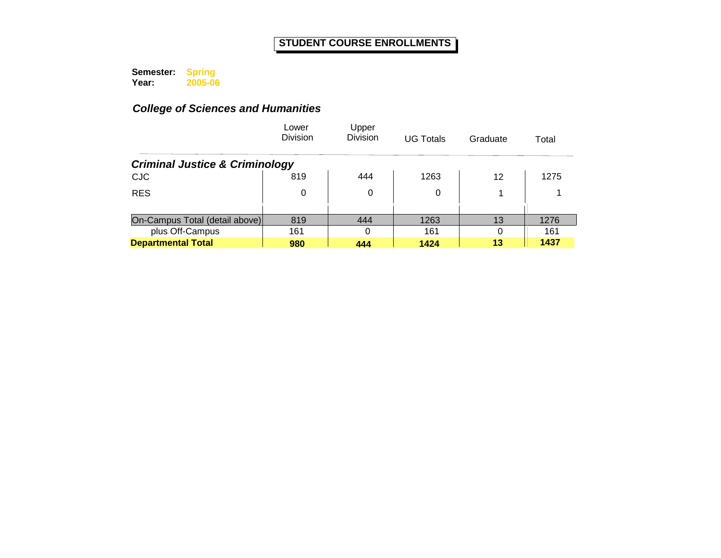**Semester: Year: Spring 2005-06**

|                                           | Lower<br><b>Division</b> | Upper<br>Division | <b>UG Totals</b> | Graduate | Total |
|-------------------------------------------|--------------------------|-------------------|------------------|----------|-------|
| <b>Criminal Justice &amp; Criminology</b> |                          |                   |                  |          |       |
| <b>CJC</b>                                | 819                      | 444               | 1263             | 12       | 1275  |
| <b>RES</b>                                | 0                        | 0                 | 0                |          |       |
|                                           |                          |                   |                  |          |       |
| On-Campus Total (detail above)            | 819                      | 444               | 1263             | 13       | 1276  |
| plus Off-Campus                           | 161                      | 0                 | 161              | $\Omega$ | 161   |
| <b>Departmental Total</b>                 | 980                      | 444               | 1424             | 13       | 1437  |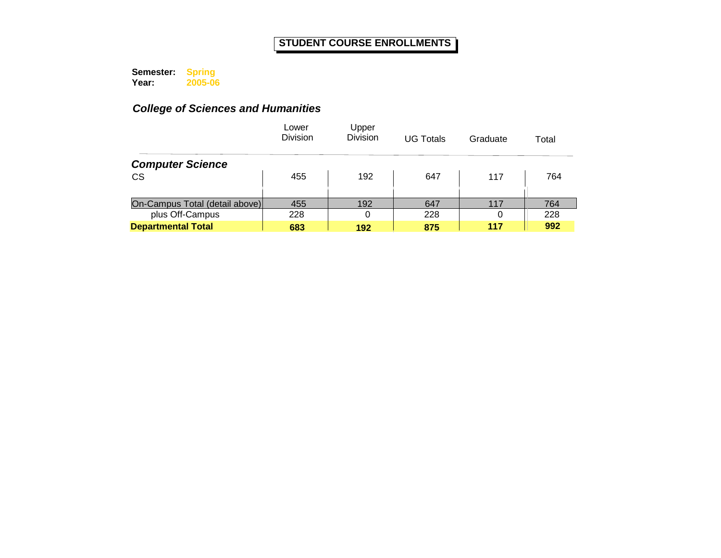**Semester: Year: Spring 2005-06**

|                                | Lower<br><b>Division</b> | Upper<br><b>Division</b> | <b>UG Totals</b> | Graduate | Total |
|--------------------------------|--------------------------|--------------------------|------------------|----------|-------|
| <b>Computer Science</b>        |                          |                          |                  |          |       |
| <b>CS</b>                      | 455                      | 192                      | 647              | 117      | 764   |
|                                |                          |                          |                  |          |       |
| On-Campus Total (detail above) | 455                      | 192                      | 647              | 117      | 764   |
| plus Off-Campus                | 228                      | 0                        | 228              | 0        | 228   |
| <b>Departmental Total</b>      | 683                      | 192                      | 875              | 117      | 992   |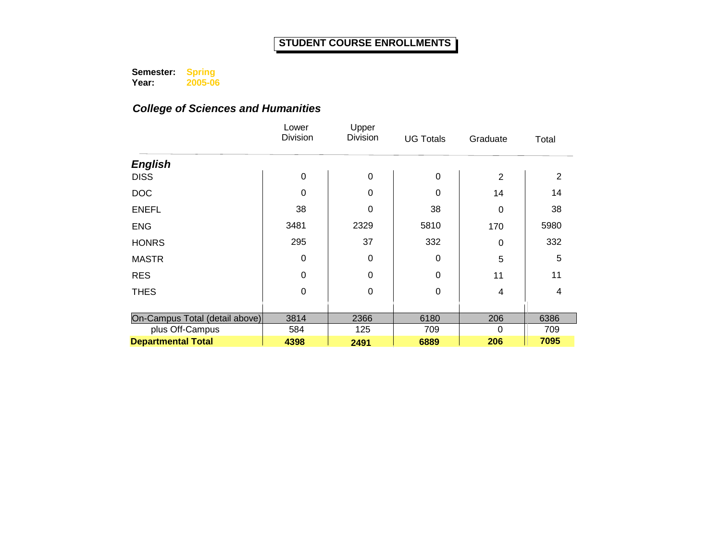**Semester: Year: Spring 2005-06**

|                                | Lower<br>Division | Upper<br>Division | <b>UG Totals</b> | Graduate       | Total |
|--------------------------------|-------------------|-------------------|------------------|----------------|-------|
| <b>English</b>                 |                   |                   |                  |                |       |
| <b>DISS</b>                    | $\mathbf 0$       | $\mathbf 0$       | $\mathbf 0$      | $\overline{2}$ | 2     |
| <b>DOC</b>                     | 0                 | 0                 | $\Omega$         | 14             | 14    |
| <b>ENEFL</b>                   | 38                | $\mathbf 0$       | 38               | 0              | 38    |
| <b>ENG</b>                     | 3481              | 2329              | 5810             | 170            | 5980  |
| <b>HONRS</b>                   | 295               | 37                | 332              | 0              | 332   |
| <b>MASTR</b>                   | 0                 | $\mathbf 0$       | 0                | 5              | 5     |
| <b>RES</b>                     | 0                 | $\Omega$          | $\Omega$         | 11             | 11    |
| <b>THES</b>                    | $\mathbf 0$       | $\mathbf 0$       | $\mathbf 0$      | 4              | 4     |
|                                |                   |                   |                  |                |       |
| On-Campus Total (detail above) | 3814              | 2366              | 6180             | 206            | 6386  |
| plus Off-Campus                | 584               | 125               | 709              | 0              | 709   |
| <b>Departmental Total</b>      | 4398              | 2491              | 6889             | 206            | 7095  |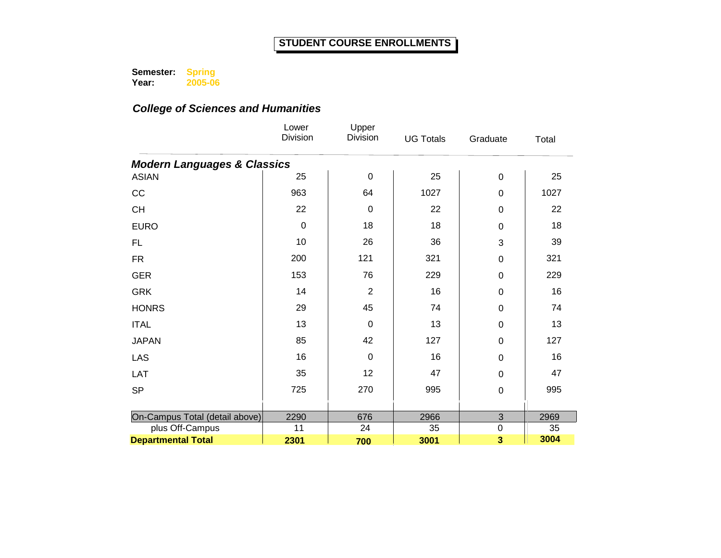**Semester: Year: Spring 2005-06**

|                                        | Lower<br><b>Division</b> | Upper<br><b>Division</b> | <b>UG Totals</b> | Graduate                  | Total |
|----------------------------------------|--------------------------|--------------------------|------------------|---------------------------|-------|
| <b>Modern Languages &amp; Classics</b> |                          |                          |                  |                           |       |
| <b>ASIAN</b>                           | 25                       | $\mathbf 0$              | 25               | 0                         | 25    |
| CC                                     | 963                      | 64                       | 1027             | 0                         | 1027  |
| <b>CH</b>                              | 22                       | $\mathbf 0$              | 22               | 0                         | 22    |
| <b>EURO</b>                            | $\mathbf 0$              | 18                       | 18               | $\mathbf 0$               | 18    |
| <b>FL</b>                              | 10                       | 26                       | 36               | 3                         | 39    |
| <b>FR</b>                              | 200                      | 121                      | 321              | $\boldsymbol{0}$          | 321   |
| <b>GER</b>                             | 153                      | 76                       | 229              | 0                         | 229   |
| <b>GRK</b>                             | 14                       | $\overline{2}$           | 16               | 0                         | 16    |
| <b>HONRS</b>                           | 29                       | 45                       | 74               | 0                         | 74    |
| <b>ITAL</b>                            | 13                       | $\mathbf 0$              | 13               | $\boldsymbol{0}$          | 13    |
| <b>JAPAN</b>                           | 85                       | 42                       | 127              | 0                         | 127   |
| <b>LAS</b>                             | 16                       | $\mathbf 0$              | 16               | 0                         | 16    |
| LAT                                    | 35                       | 12                       | 47               | 0                         | 47    |
| <b>SP</b>                              | 725                      | 270                      | 995              | $\mathbf 0$               | 995   |
|                                        |                          |                          |                  |                           |       |
| On-Campus Total (detail above)         | 2290                     | 676                      | 2966             | $\ensuremath{\mathsf{3}}$ | 2969  |
| plus Off-Campus                        | 11                       | 24                       | 35               | $\mathsf 0$               | 35    |
| <b>Departmental Total</b>              | 2301                     | 700                      | 3001             | 3                         | 3004  |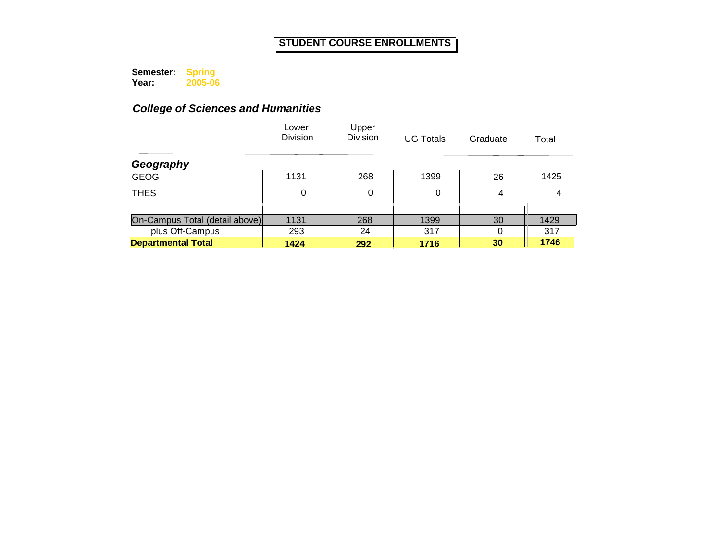**Semester: Year: Spring 2005-06**

|                                | Lower<br><b>Division</b> | Upper<br><b>Division</b> | <b>UG Totals</b> | Graduate | Total |
|--------------------------------|--------------------------|--------------------------|------------------|----------|-------|
| Geography                      |                          |                          |                  |          |       |
| <b>GEOG</b>                    | 1131                     | 268                      | 1399             | 26       | 1425  |
| <b>THES</b>                    | 0                        | 0                        | 0                | 4        | 4     |
|                                |                          |                          |                  |          |       |
| On-Campus Total (detail above) | 1131                     | 268                      | 1399             | 30       | 1429  |
| plus Off-Campus                | 293                      | 24                       | 317              | 0        | 317   |
| <b>Departmental Total</b>      | 1424                     | 292                      | 1716             | 30       | 1746  |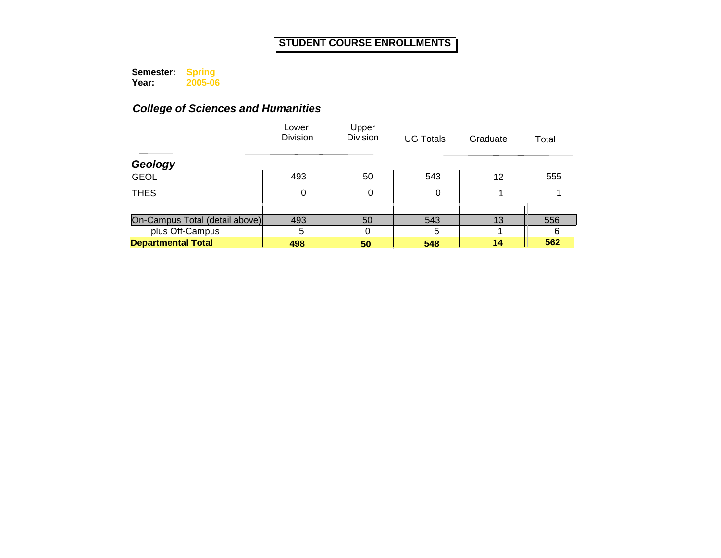**Semester: Year: Spring 2005-06**

|                                | Lower<br><b>Division</b> | Upper<br><b>Division</b> | <b>UG Totals</b> | Graduate | Total |
|--------------------------------|--------------------------|--------------------------|------------------|----------|-------|
| Geology                        |                          |                          |                  |          |       |
| <b>GEOL</b>                    | 493                      | 50                       | 543              | 12       | 555   |
| <b>THES</b>                    | 0                        | 0                        | 0                |          |       |
|                                |                          |                          |                  |          |       |
| On-Campus Total (detail above) | 493                      | 50                       | 543              | 13       | 556   |
| plus Off-Campus                | 5                        | 0                        | 5                |          | 6     |
| <b>Departmental Total</b>      | 498                      | 50                       | 548              | 14       | 562   |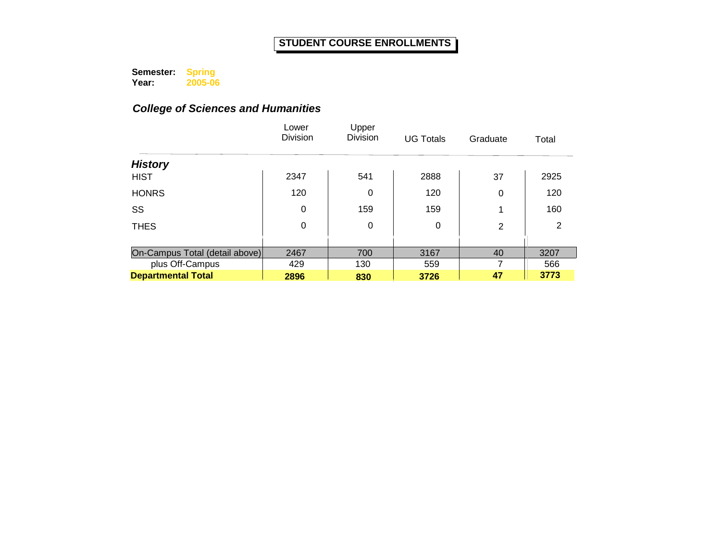**Semester: Year: Spring 2005-06**

|                                | Lower<br><b>Division</b> | Upper<br><b>Division</b> | <b>UG Totals</b> | Graduate | Total |
|--------------------------------|--------------------------|--------------------------|------------------|----------|-------|
| <b>History</b>                 |                          |                          |                  |          |       |
| <b>HIST</b>                    | 2347                     | 541                      | 2888             | 37       | 2925  |
| <b>HONRS</b>                   | 120                      | 0                        | 120              | 0        | 120   |
| SS                             | 0                        | 159                      | 159              | 1        | 160   |
| <b>THES</b>                    | 0                        | 0                        | 0                | 2        | 2     |
|                                |                          |                          |                  |          |       |
| On-Campus Total (detail above) | 2467                     | 700                      | 3167             | 40       | 3207  |
| plus Off-Campus                | 429                      | 130                      | 559              | 7        | 566   |
| <b>Departmental Total</b>      | 2896                     | 830                      | 3726             | 47       | 3773  |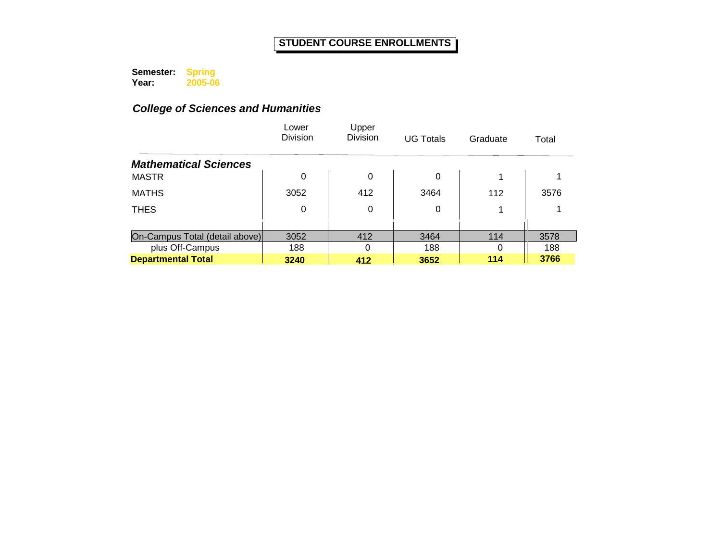**Semester: Year: Spring 2005-06**

|                                | Lower<br><b>Division</b> | Upper<br>Division | <b>UG Totals</b> | Graduate | Total |
|--------------------------------|--------------------------|-------------------|------------------|----------|-------|
| <b>Mathematical Sciences</b>   |                          |                   |                  |          |       |
| <b>MASTR</b>                   | $\Omega$                 | 0                 | 0                |          |       |
| <b>MATHS</b>                   | 3052                     | 412               | 3464             | 112      | 3576  |
| <b>THES</b>                    | 0                        | 0                 | 0                |          |       |
|                                |                          |                   |                  |          |       |
| On-Campus Total (detail above) | 3052                     | 412               | 3464             | 114      | 3578  |
| plus Off-Campus                | 188                      | $\Omega$          | 188              | 0        | 188   |
| <b>Departmental Total</b>      | 3240                     | 412               | 3652             | 114      | 3766  |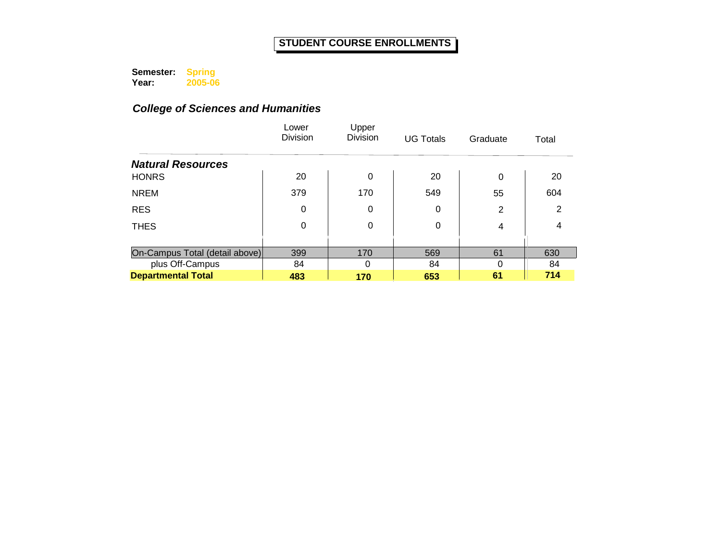**Semester: Year: Spring 2005-06**

|                                | Lower<br><b>Division</b> | Upper<br><b>Division</b> | <b>UG Totals</b> | Graduate | Total |
|--------------------------------|--------------------------|--------------------------|------------------|----------|-------|
| <b>Natural Resources</b>       |                          |                          |                  |          |       |
| <b>HONRS</b>                   | 20                       | 0                        | 20               | $\Omega$ | 20    |
| <b>NREM</b>                    | 379                      | 170                      | 549              | 55       | 604   |
| <b>RES</b>                     | 0                        | 0                        | 0                | 2        | 2     |
| <b>THES</b>                    | 0                        | 0                        | 0                | 4        | 4     |
|                                |                          |                          |                  |          |       |
| On-Campus Total (detail above) | 399                      | 170                      | 569              | 61       | 630   |
| plus Off-Campus                | 84                       | $\Omega$                 | 84               | $\Omega$ | 84    |
| <b>Departmental Total</b>      | 483                      | 170                      | 653              | 61       | 714   |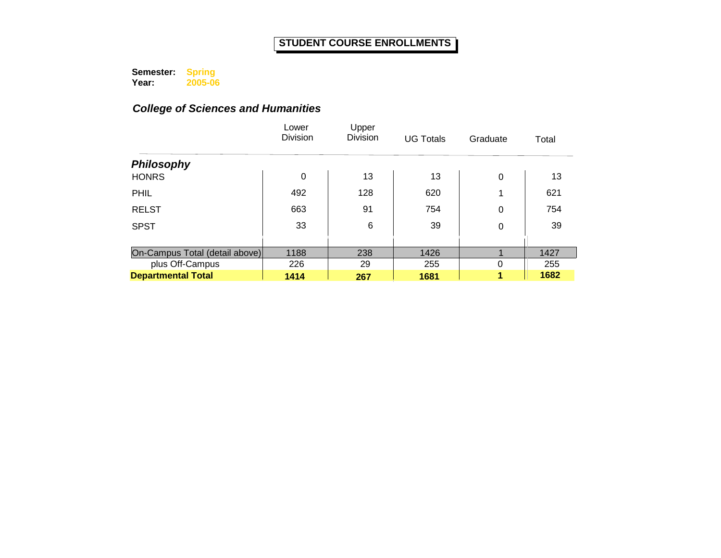**Semester: Year: Spring 2005-06**

|                                | Lower<br><b>Division</b> | Upper<br><b>Division</b> | <b>UG Totals</b> | Graduate | Total |
|--------------------------------|--------------------------|--------------------------|------------------|----------|-------|
| <b>Philosophy</b>              |                          |                          |                  |          |       |
| <b>HONRS</b>                   | 0                        | 13                       | 13               | $\Omega$ | 13    |
| <b>PHIL</b>                    | 492                      | 128                      | 620              | 1        | 621   |
| <b>RELST</b>                   | 663                      | 91                       | 754              | 0        | 754   |
| <b>SPST</b>                    | 33                       | 6                        | 39               | 0        | 39    |
|                                |                          |                          |                  |          |       |
| On-Campus Total (detail above) | 1188                     | 238                      | 1426             |          | 1427  |
| plus Off-Campus                | 226                      | 29                       | 255              | 0        | 255   |
| <b>Departmental Total</b>      | 1414                     | 267                      | 1681             | 4        | 1682  |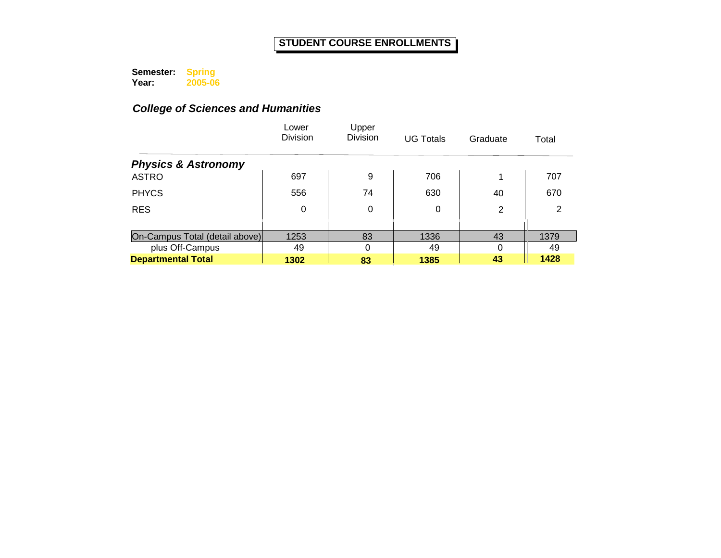**Semester: Year: Spring 2005-06**

|                                | Lower<br><b>Division</b> | Upper<br><b>Division</b> | <b>UG Totals</b> | Graduate | Total |
|--------------------------------|--------------------------|--------------------------|------------------|----------|-------|
| <b>Physics &amp; Astronomy</b> |                          |                          |                  |          |       |
| <b>ASTRO</b>                   | 697                      | 9                        | 706              | 1        | 707   |
| <b>PHYCS</b>                   | 556                      | 74                       | 630              | 40       | 670   |
| <b>RES</b>                     | 0                        | 0                        | 0                | 2        | 2     |
|                                |                          |                          |                  |          |       |
| On-Campus Total (detail above) | 1253                     | 83                       | 1336             | 43       | 1379  |
| plus Off-Campus                | 49                       | $\Omega$                 | 49               | $\Omega$ | 49    |
| <b>Departmental Total</b>      | 1302                     | 83                       | 1385             | 43       | 1428  |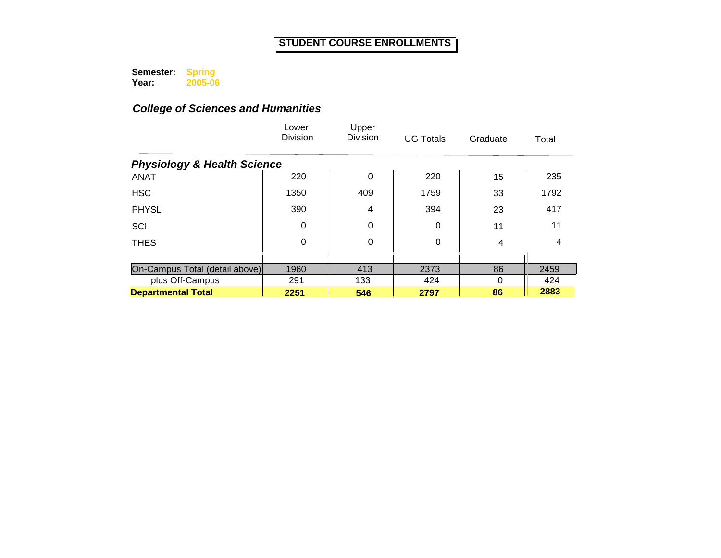**Semester: Year: Spring 2005-06**

|                                        | Lower<br><b>Division</b> | Upper<br><b>Division</b> | <b>UG Totals</b> | Graduate | Total |
|----------------------------------------|--------------------------|--------------------------|------------------|----------|-------|
| <b>Physiology &amp; Health Science</b> |                          |                          |                  |          |       |
| <b>ANAT</b>                            | 220                      | 0                        | 220              | 15       | 235   |
| <b>HSC</b>                             | 1350                     | 409                      | 1759             | 33       | 1792  |
| <b>PHYSL</b>                           | 390                      | 4                        | 394              | 23       | 417   |
| SCI                                    | $\Omega$                 | 0                        | 0                | 11       | 11    |
| <b>THES</b>                            | $\Omega$                 | 0                        | 0                | 4        | 4     |
|                                        |                          |                          |                  |          |       |
| On-Campus Total (detail above)         | 1960                     | 413                      | 2373             | 86       | 2459  |
| plus Off-Campus                        | 291                      | 133                      | 424              | 0        | 424   |
| <b>Departmental Total</b>              | 2251                     | 546                      | 2797             | 86       | 2883  |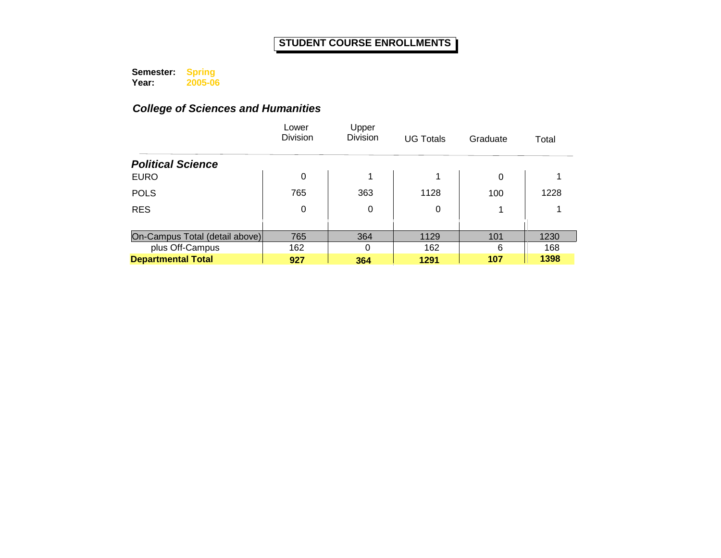**Semester: Year: Spring 2005-06**

|                                | Lower<br><b>Division</b> | Upper<br><b>Division</b> | <b>UG Totals</b> | Graduate | Total |
|--------------------------------|--------------------------|--------------------------|------------------|----------|-------|
| <b>Political Science</b>       |                          |                          |                  |          |       |
| <b>EURO</b>                    | 0                        | 1                        | 4                | 0        |       |
| <b>POLS</b>                    | 765                      | 363                      | 1128             | 100      | 1228  |
| <b>RES</b>                     | 0                        | 0                        | 0                |          |       |
|                                |                          |                          |                  |          |       |
| On-Campus Total (detail above) | 765                      | 364                      | 1129             | 101      | 1230  |
| plus Off-Campus                | 162                      | $\Omega$                 | 162              | 6        | 168   |
| <b>Departmental Total</b>      | 927                      | 364                      | 1291             | 107      | 1398  |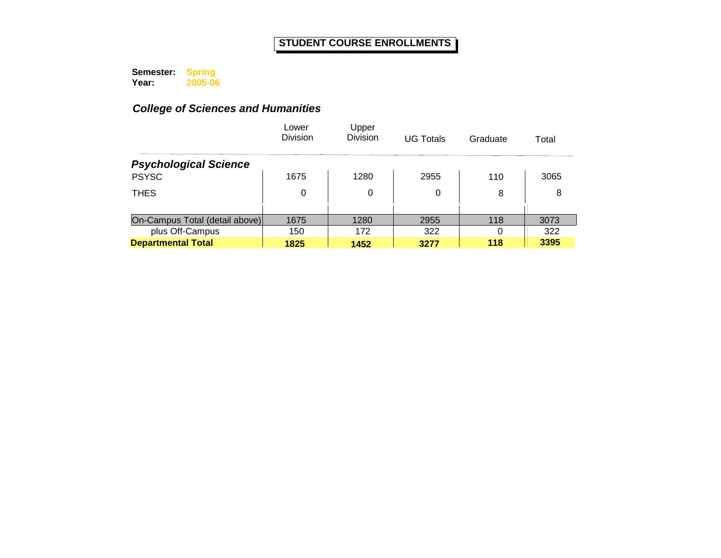**Semester: Year: Spring 2005-06**

|                                | Lower<br><b>Division</b> | Upper<br><b>Division</b> | <b>UG Totals</b> | Graduate | Total |
|--------------------------------|--------------------------|--------------------------|------------------|----------|-------|
| <b>Psychological Science</b>   |                          |                          |                  |          |       |
| <b>PSYSC</b>                   | 1675                     | 1280                     | 2955             | 110      | 3065  |
| <b>THES</b>                    | 0                        | 0                        | 0                | 8        | 8     |
|                                |                          |                          |                  |          |       |
| On-Campus Total (detail above) | 1675                     | 1280                     | 2955             | 118      | 3073  |
| plus Off-Campus                | 150                      | 172                      | 322              | 0        | 322   |
| <b>Departmental Total</b>      | 1825                     | 1452                     | 3277             | 118      | 3395  |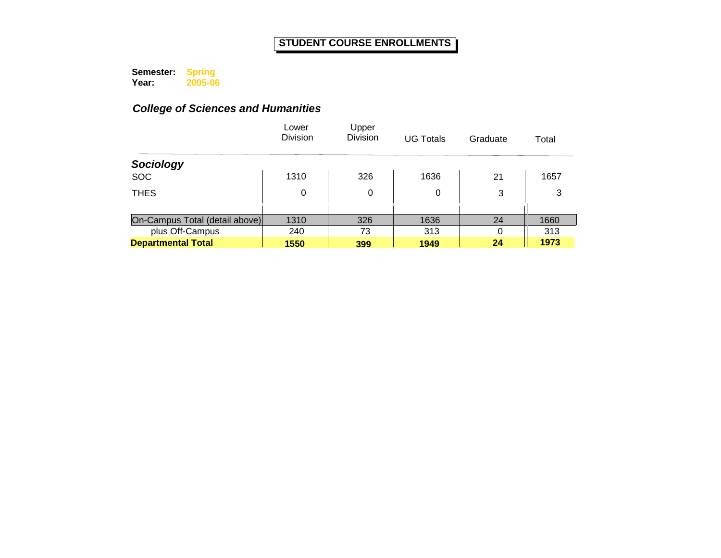**Semester: Year: Spring 2005-06**

|                                | Lower<br><b>Division</b> | Upper<br><b>Division</b> | <b>UG Totals</b> | Graduate | Total |
|--------------------------------|--------------------------|--------------------------|------------------|----------|-------|
| Sociology                      |                          |                          |                  |          |       |
| <b>SOC</b>                     | 1310                     | 326                      | 1636             | 21       | 1657  |
| <b>THES</b>                    | 0                        | 0                        | 0                | 3        | 3     |
|                                |                          |                          |                  |          |       |
| On-Campus Total (detail above) | 1310                     | 326                      | 1636             | 24       | 1660  |
| plus Off-Campus                | 240                      | 73                       | 313              | $\Omega$ | 313   |
| <b>Departmental Total</b>      | 1550                     | 399                      | 1949             | 24       | 1973  |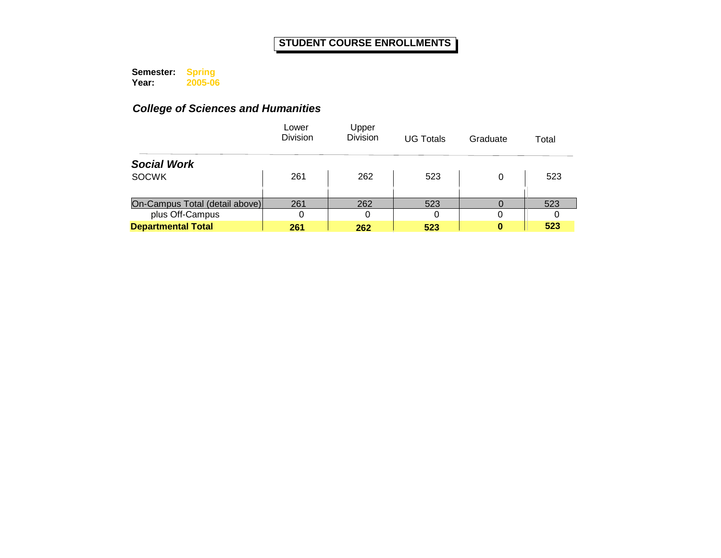**Semester: Year: Spring 2005-06**

|                                | Lower<br><b>Division</b> | Upper<br><b>Division</b> | <b>UG Totals</b> | Graduate | Total |
|--------------------------------|--------------------------|--------------------------|------------------|----------|-------|
| <b>Social Work</b>             |                          |                          |                  |          |       |
| <b>SOCWK</b>                   | 261                      | 262                      | 523              | 0        | 523   |
|                                |                          |                          |                  |          |       |
| On-Campus Total (detail above) | 261                      | 262                      | 523              |          | 523   |
| plus Off-Campus                | 0                        | 0                        | 0                | 0        |       |
| <b>Departmental Total</b>      | 261                      | 262                      | 523              | 0        | 523   |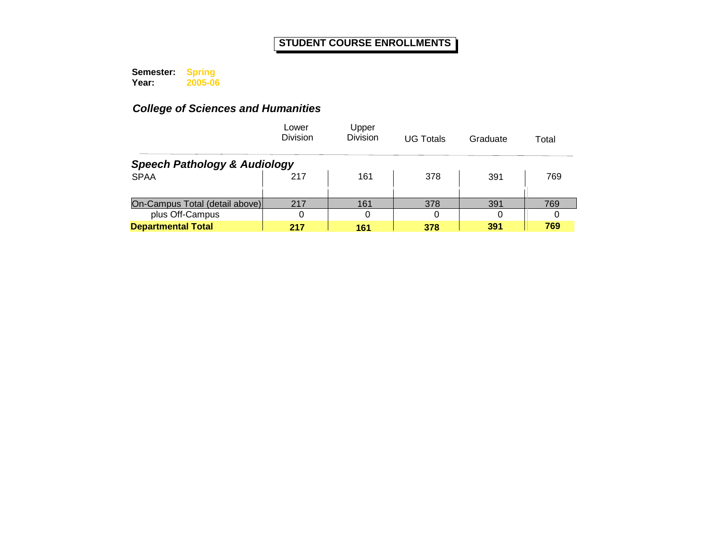**Semester: Year: Spring 2005-06**

|                                         | Lower<br><b>Division</b> | Upper<br><b>Division</b> | <b>UG Totals</b> | Graduate | Total |
|-----------------------------------------|--------------------------|--------------------------|------------------|----------|-------|
| <b>Speech Pathology &amp; Audiology</b> |                          |                          |                  |          |       |
| <b>SPAA</b>                             | 217                      | 161                      | 378              | 391      | 769   |
|                                         |                          |                          |                  |          |       |
| On-Campus Total (detail above)          | 217                      | 161                      | 378              | 391      | 769   |
| plus Off-Campus                         | 0                        | 0                        |                  | 0        |       |
| <b>Departmental Total</b>               | 217                      | 161                      | 378              | 391      | 769   |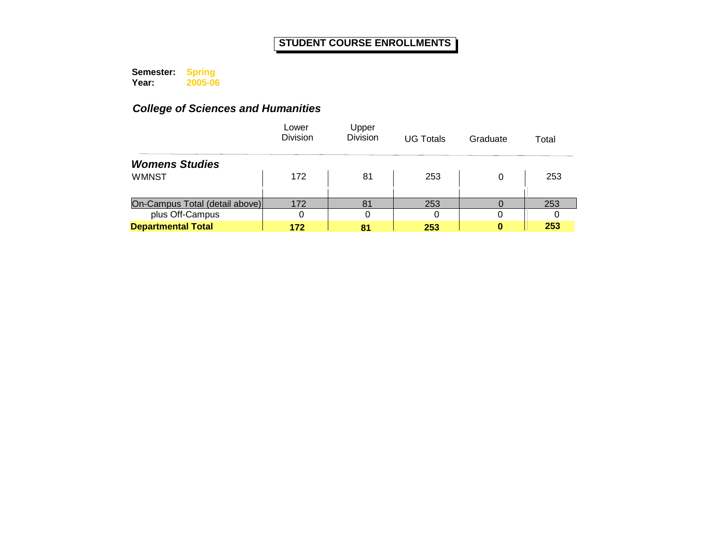**Semester: Year: Spring 2005-06**

|                                | Lower<br><b>Division</b> | Upper<br><b>Division</b> | <b>UG Totals</b> | Graduate | Total |
|--------------------------------|--------------------------|--------------------------|------------------|----------|-------|
| <b>Womens Studies</b>          |                          |                          |                  |          |       |
| <b>WMNST</b>                   | 172                      | 81                       | 253              | 0        | 253   |
|                                |                          |                          |                  |          |       |
| On-Campus Total (detail above) | 172                      | 81                       | 253              |          | 253   |
| plus Off-Campus                | 0                        |                          |                  |          |       |
| <b>Departmental Total</b>      | 172                      | 81                       | 253              | o        | 253   |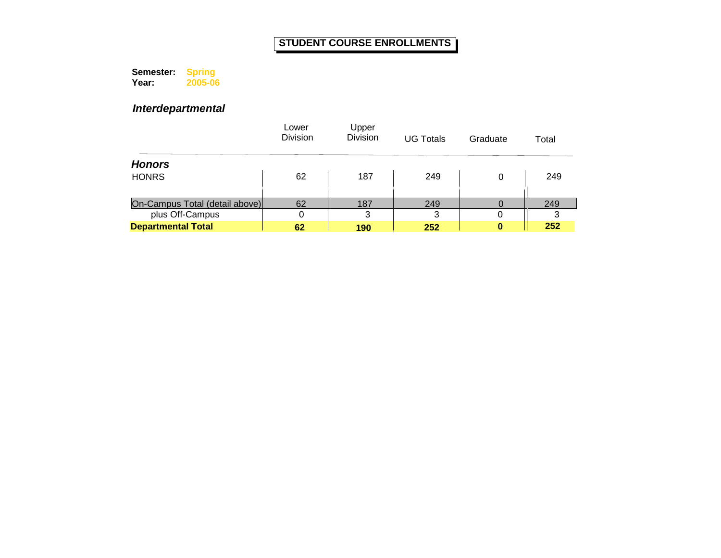**Semester: Year: Spring 2005-06**

*Interdepartmental*

|                                | Lower<br><b>Division</b> | Upper<br><b>Division</b> | <b>UG Totals</b> | Graduate | Total |
|--------------------------------|--------------------------|--------------------------|------------------|----------|-------|
| <b>Honors</b>                  |                          |                          |                  |          |       |
| <b>HONRS</b>                   | 62                       | 187                      | 249              | 0        | 249   |
|                                |                          |                          |                  |          |       |
| On-Campus Total (detail above) | 62                       | 187                      | 249              |          | 249   |
| plus Off-Campus                |                          | 3                        | 3                | 0        |       |
| <b>Departmental Total</b>      | 62                       | 190                      | 252              | 0        | 252   |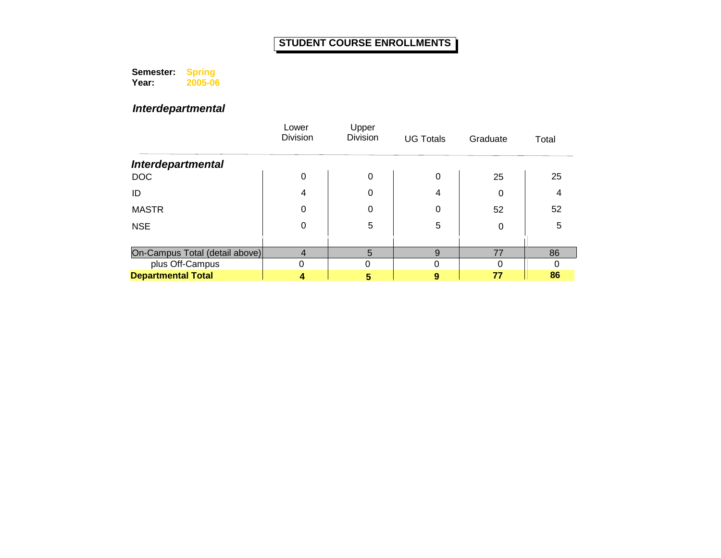**Semester: Year: Spring 2005-06**

*Interdepartmental*

|                                | Lower<br>Division | Upper<br><b>Division</b> | <b>UG Totals</b> | Graduate | Total |
|--------------------------------|-------------------|--------------------------|------------------|----------|-------|
| Interdepartmental              |                   |                          |                  |          |       |
| DOC                            | 0                 | 0                        | 0                | 25       | 25    |
| ID                             | 4                 | 0                        | 4                | 0        | 4     |
| <b>MASTR</b>                   | 0                 | 0                        | 0                | 52       | 52    |
| <b>NSE</b>                     | 0                 | 5                        | 5                | 0        | 5     |
|                                |                   |                          |                  |          |       |
| On-Campus Total (detail above) | 4                 | 5                        | 9                | 77       | 86    |
| plus Off-Campus                |                   |                          | ი                | ი        |       |
| <b>Departmental Total</b>      |                   | 5                        | 9                | 77       | 86    |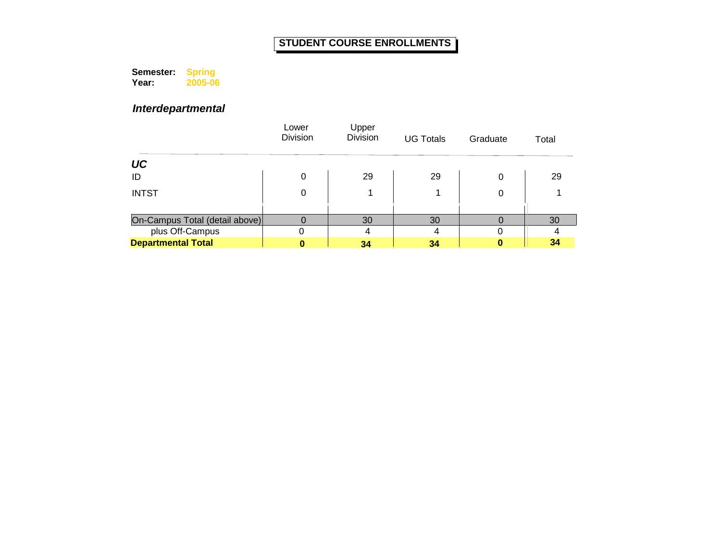**Semester: Year: Spring 2005-06**

# *Interdepartmental*

|                                | Lower<br><b>Division</b> | Upper<br><b>Division</b> | <b>UG Totals</b> | Graduate | Total |
|--------------------------------|--------------------------|--------------------------|------------------|----------|-------|
| UC                             |                          |                          |                  |          |       |
| ID                             | 0                        | 29                       | 29               | 0        | 29    |
| <b>INTST</b>                   | 0                        |                          |                  | 0        |       |
|                                |                          |                          |                  |          |       |
| On-Campus Total (detail above) |                          | 30                       | 30               |          | 30    |
| plus Off-Campus                | 0                        | 4                        | 4                |          |       |
| <b>Departmental Total</b>      |                          | 34                       | 34               |          | 34    |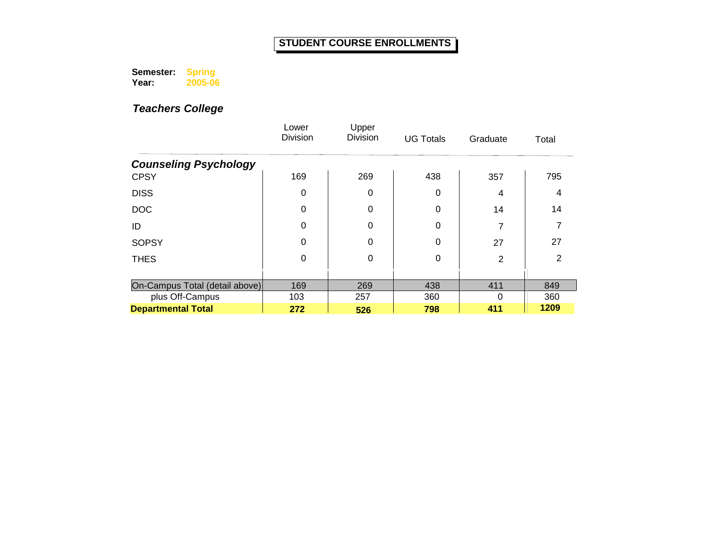**Semester: Year: Spring 2005-06**

|                                | Lower<br><b>Division</b> | Upper<br><b>Division</b> | <b>UG Totals</b> | Graduate       | Total |
|--------------------------------|--------------------------|--------------------------|------------------|----------------|-------|
| <b>Counseling Psychology</b>   |                          |                          |                  |                |       |
| <b>CPSY</b>                    | 169                      | 269                      | 438              | 357            | 795   |
| <b>DISS</b>                    | 0                        | 0                        | 0                | 4              | 4     |
| <b>DOC</b>                     | 0                        | 0                        | $\Omega$         | 14             | 14    |
| ID                             | $\Omega$                 | 0                        | 0                | 7              |       |
| <b>SOPSY</b>                   | 0                        | 0                        | 0                | 27             | 27    |
| <b>THES</b>                    | 0                        | 0                        | 0                | $\overline{2}$ | 2     |
|                                |                          |                          |                  |                |       |
| On-Campus Total (detail above) | 169                      | 269                      | 438              | 411            | 849   |
| plus Off-Campus                | 103                      | 257                      | 360              | 0              | 360   |
| <b>Departmental Total</b>      | 272                      | 526                      | 798              | 411            | 1209  |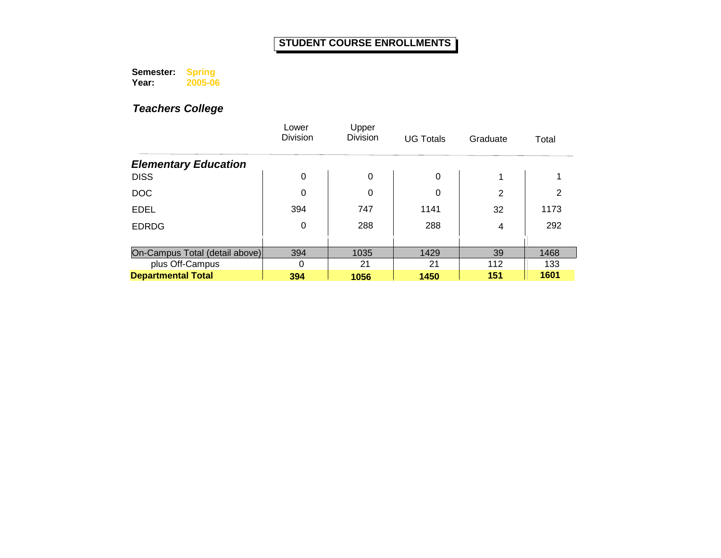**Semester: Year: Spring 2005-06**

|                                | Lower<br>Division | Upper<br><b>Division</b> | <b>UG Totals</b> | Graduate       | Total |
|--------------------------------|-------------------|--------------------------|------------------|----------------|-------|
| <b>Elementary Education</b>    |                   |                          |                  |                |       |
| <b>DISS</b>                    | 0                 | 0                        | $\Omega$         | 1              |       |
| <b>DOC</b>                     | 0                 | 0                        | 0                | $\overline{2}$ | 2     |
| <b>EDEL</b>                    | 394               | 747                      | 1141             | 32             | 1173  |
| <b>EDRDG</b>                   | 0                 | 288                      | 288              | 4              | 292   |
|                                |                   |                          |                  |                |       |
| On-Campus Total (detail above) | 394               | 1035                     | 1429             | 39             | 1468  |
| plus Off-Campus                | $\Omega$          | 21                       | 21               | 112            | 133   |
| <b>Departmental Total</b>      | 394               | 1056                     | 1450             | 151            | 1601  |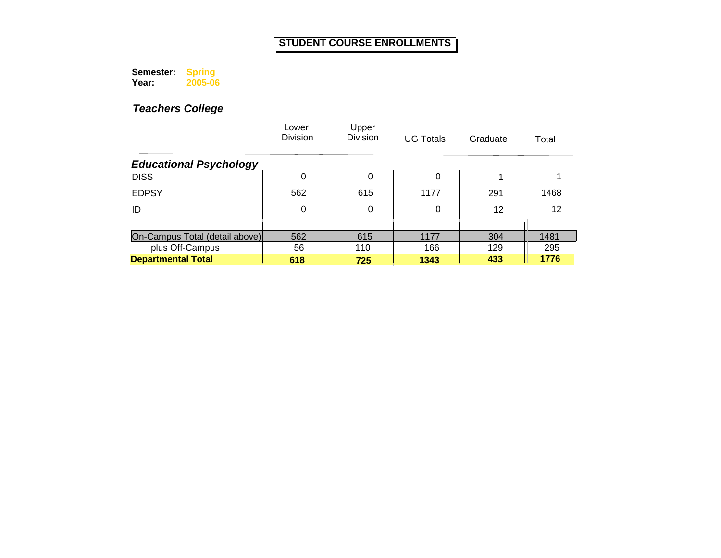**Semester: Year: Spring 2005-06**

|                                | Lower<br><b>Division</b> | Upper<br>Division | <b>UG Totals</b> | Graduate | Total |
|--------------------------------|--------------------------|-------------------|------------------|----------|-------|
| <b>Educational Psychology</b>  |                          |                   |                  |          |       |
| <b>DISS</b>                    | 0                        | 0                 | 0                | 1        |       |
| <b>EDPSY</b>                   | 562                      | 615               | 1177             | 291      | 1468  |
| ID                             | 0                        | 0                 | 0                | 12       | 12    |
|                                |                          |                   |                  |          |       |
| On-Campus Total (detail above) | 562                      | 615               | 1177             | 304      | 1481  |
| plus Off-Campus                | 56                       | 110               | 166              | 129      | 295   |
| <b>Departmental Total</b>      | 618                      | 725               | 1343             | 433      | 1776  |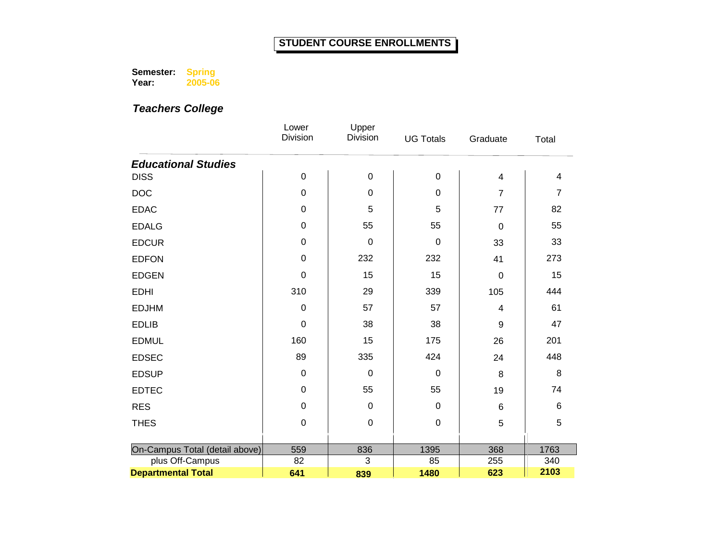**Semester: Year: Spring 2005-06**

|                                | Lower<br>Division | Upper<br><b>Division</b> | <b>UG Totals</b> | Graduate       | Total          |
|--------------------------------|-------------------|--------------------------|------------------|----------------|----------------|
| <b>Educational Studies</b>     |                   |                          |                  |                |                |
| <b>DISS</b>                    | $\pmb{0}$         | $\boldsymbol{0}$         | $\pmb{0}$        | 4              | 4              |
| DOC                            | $\pmb{0}$         | $\boldsymbol{0}$         | $\mathbf 0$      | $\overline{7}$ | $\overline{7}$ |
| <b>EDAC</b>                    | $\pmb{0}$         | 5                        | 5                | 77             | 82             |
| <b>EDALG</b>                   | $\pmb{0}$         | 55                       | 55               | $\mathbf 0$    | 55             |
| <b>EDCUR</b>                   | $\pmb{0}$         | $\mathbf 0$              | $\mathbf 0$      | 33             | 33             |
| <b>EDFON</b>                   | $\pmb{0}$         | 232                      | 232              | 41             | 273            |
| <b>EDGEN</b>                   | $\mathbf 0$       | 15                       | 15               | 0              | 15             |
| <b>EDHI</b>                    | 310               | 29                       | 339              | 105            | 444            |
| <b>EDJHM</b>                   | $\mathbf 0$       | 57                       | 57               | 4              | 61             |
| <b>EDLIB</b>                   | $\mathbf 0$       | 38                       | 38               | 9              | 47             |
| <b>EDMUL</b>                   | 160               | 15                       | 175              | 26             | 201            |
| <b>EDSEC</b>                   | 89                | 335                      | 424              | 24             | 448            |
| <b>EDSUP</b>                   | $\pmb{0}$         | $\mathbf 0$              | $\boldsymbol{0}$ | 8              | 8              |
| <b>EDTEC</b>                   | 0                 | 55                       | 55               | 19             | 74             |
| <b>RES</b>                     | $\pmb{0}$         | $\mathbf 0$              | $\pmb{0}$        | 6              | 6              |
| <b>THES</b>                    | $\mathbf 0$       | $\mathbf 0$              | $\mathbf 0$      | 5              | 5              |
|                                |                   |                          |                  |                |                |
| On-Campus Total (detail above) | 559               | 836                      | 1395             | 368            | 1763           |
| plus Off-Campus                | 82                | 3                        | 85               | 255            | 340            |
| <b>Departmental Total</b>      | 641               | 839                      | 1480             | 623            | 2103           |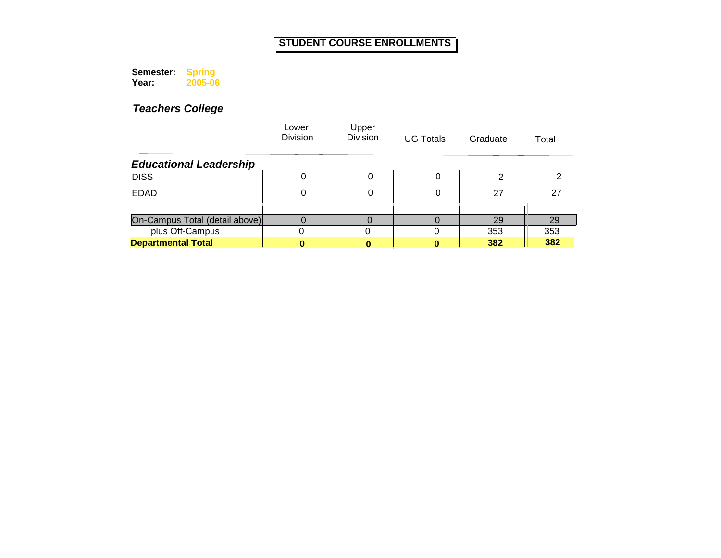**Semester: Year: Spring 2005-06**

|                                | Lower<br><b>Division</b> | Upper<br><b>Division</b> | <b>UG Totals</b> | Graduate | Total |
|--------------------------------|--------------------------|--------------------------|------------------|----------|-------|
| <b>Educational Leadership</b>  |                          |                          |                  |          |       |
| <b>DISS</b>                    | 0                        | 0                        | 0                | 2        |       |
| <b>EDAD</b>                    | 0                        |                          | 0                | 27       | 27    |
|                                |                          |                          |                  |          |       |
| On-Campus Total (detail above) |                          |                          |                  | 29       | 29    |
| plus Off-Campus                |                          |                          |                  | 353      | 353   |
| <b>Departmental Total</b>      |                          |                          |                  | 382      | 382   |